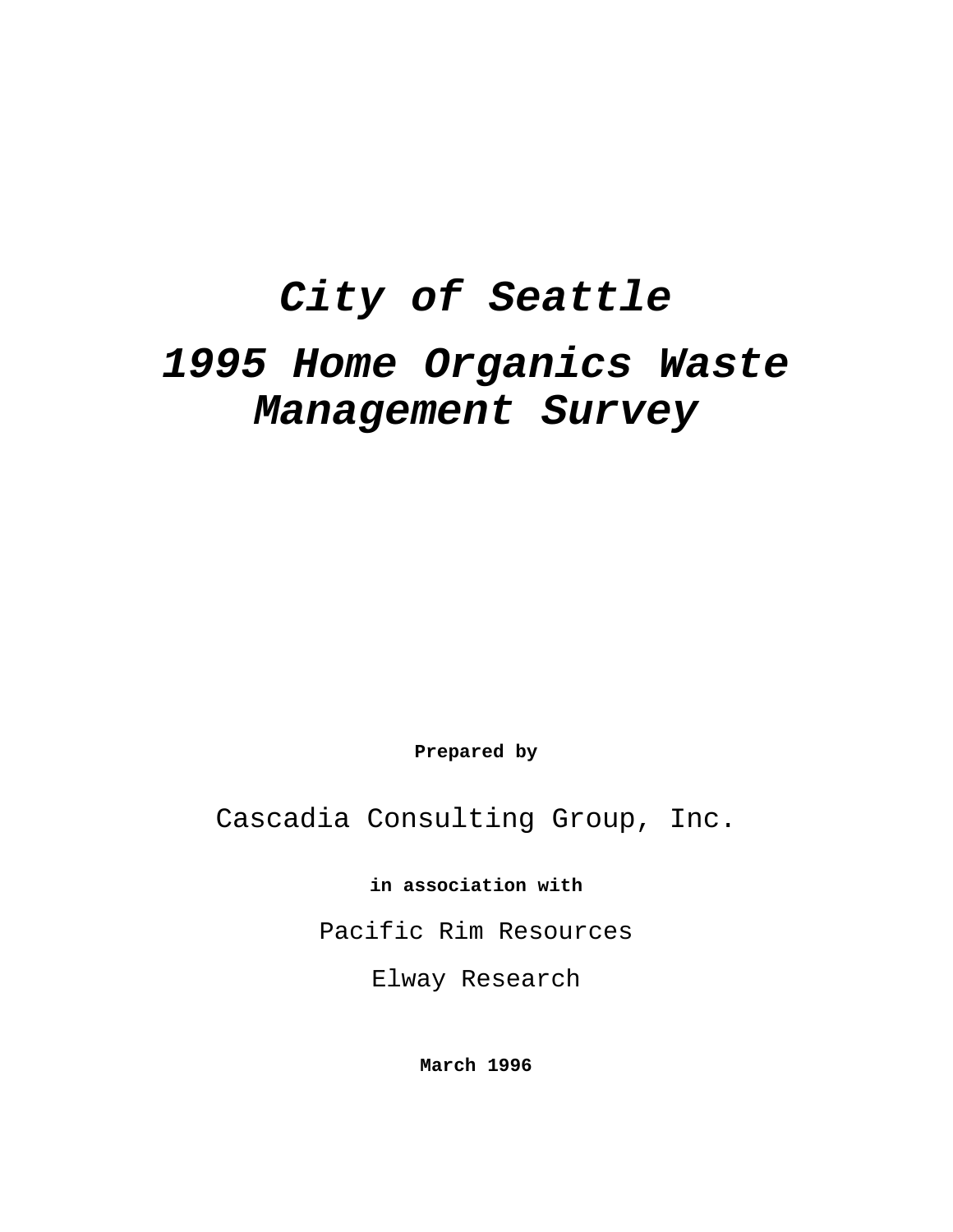# **City of Seattle 1995 Home Organics Waste Management Survey**

**Prepared by**

Cascadia Consulting Group, Inc.

**in association with**

Pacific Rim Resources

Elway Research

**March 1996**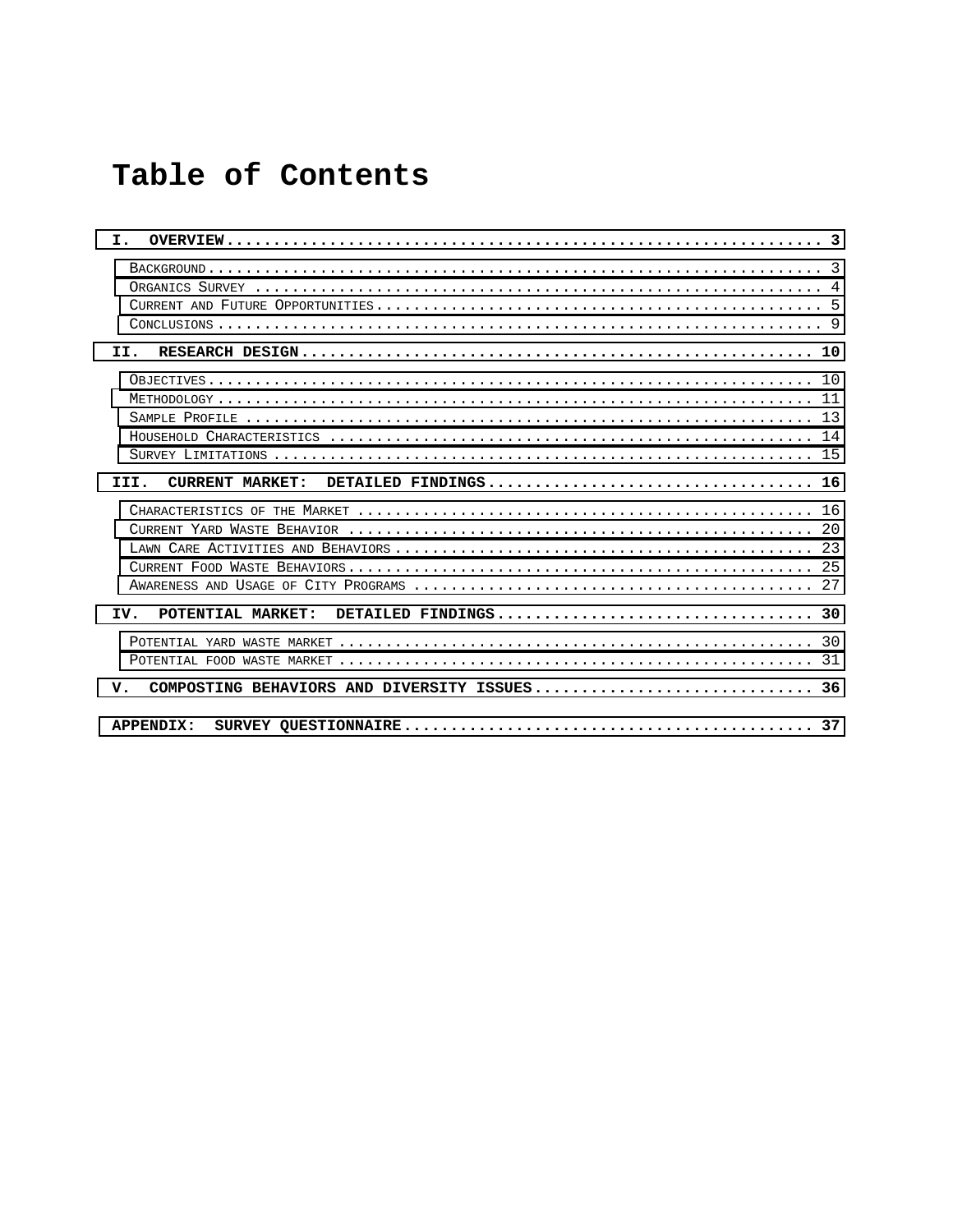# **Table of Contents**

| τ.                                                                             |  |
|--------------------------------------------------------------------------------|--|
| II.                                                                            |  |
|                                                                                |  |
| DETAILED FINDINGS 16<br>III.<br>CURRENT MARKET:                                |  |
| IV.<br>POTENTIAL MARKET:<br>v.<br>COMPOSTING BEHAVIORS AND DIVERSITY ISSUES 36 |  |
| APPENDIX:                                                                      |  |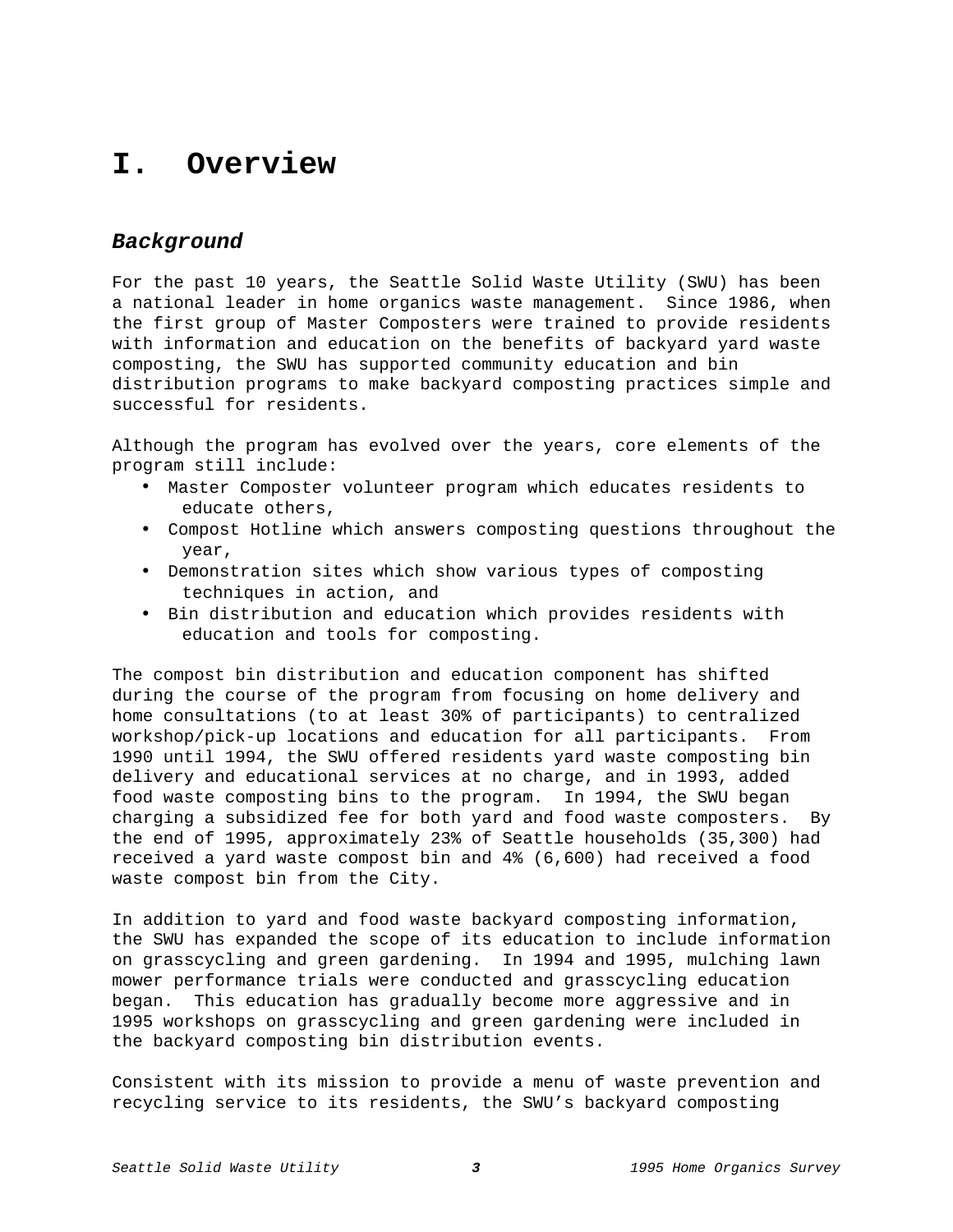# <span id="page-2-0"></span>**I. Overview**

# **Background**

For the past 10 years, the Seattle Solid Waste Utility (SWU) has been a national leader in home organics waste management. Since 1986, when the first group of Master Composters were trained to provide residents with information and education on the benefits of backyard yard waste composting, the SWU has supported community education and bin distribution programs to make backyard composting practices simple and successful for residents.

Although the program has evolved over the years, core elements of the program still include:

- Master Composter volunteer program which educates residents to educate others,
- Compost Hotline which answers composting questions throughout the year,
- Demonstration sites which show various types of composting techniques in action, and
- Bin distribution and education which provides residents with education and tools for composting.

The compost bin distribution and education component has shifted during the course of the program from focusing on home delivery and home consultations (to at least 30% of participants) to centralized workshop/pick-up locations and education for all participants. From 1990 until 1994, the SWU offered residents yard waste composting bin delivery and educational services at no charge, and in 1993, added food waste composting bins to the program. In 1994, the SWU began charging a subsidized fee for both yard and food waste composters. By the end of 1995, approximately 23% of Seattle households (35,300) had received a yard waste compost bin and 4% (6,600) had received a food waste compost bin from the City.

In addition to yard and food waste backyard composting information, the SWU has expanded the scope of its education to include information on grasscycling and green gardening. In 1994 and 1995, mulching lawn mower performance trials were conducted and grasscycling education began. This education has gradually become more aggressive and in 1995 workshops on grasscycling and green gardening were included in the backyard composting bin distribution events.

Consistent with its mission to provide a menu of waste prevention and recycling service to its residents, the SWU's backyard composting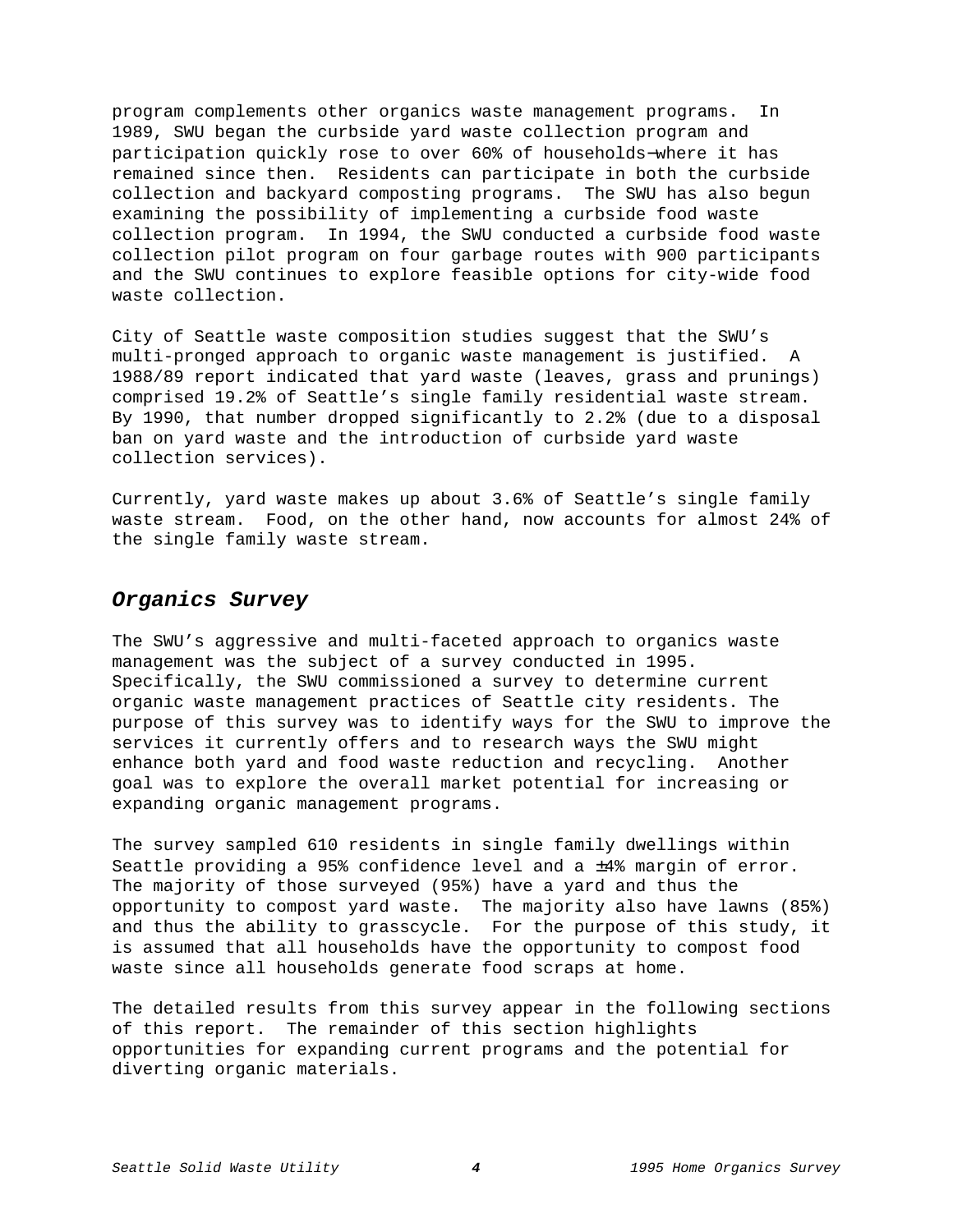<span id="page-3-0"></span>program complements other organics waste management programs. In 1989, SWU began the curbside yard waste collection program and participation quickly rose to over 60% of households−where it has remained since then. Residents can participate in both the curbside collection and backyard composting programs. The SWU has also begun examining the possibility of implementing a curbside food waste collection program. In 1994, the SWU conducted a curbside food waste collection pilot program on four garbage routes with 900 participants and the SWU continues to explore feasible options for city-wide food waste collection.

City of Seattle waste composition studies suggest that the SWU's multi-pronged approach to organic waste management is justified. A 1988/89 report indicated that yard waste (leaves, grass and prunings) comprised 19.2% of Seattle's single family residential waste stream. By 1990, that number dropped significantly to 2.2% (due to a disposal ban on yard waste and the introduction of curbside yard waste collection services).

Currently, yard waste makes up about 3.6% of Seattle's single family waste stream. Food, on the other hand, now accounts for almost 24% of the single family waste stream.

### **Organics Survey**

The SWU's aggressive and multi-faceted approach to organics waste management was the subject of a survey conducted in 1995. Specifically, the SWU commissioned a survey to determine current organic waste management practices of Seattle city residents. The purpose of this survey was to identify ways for the SWU to improve the services it currently offers and to research ways the SWU might enhance both yard and food waste reduction and recycling. Another goal was to explore the overall market potential for increasing or expanding organic management programs.

The survey sampled 610 residents in single family dwellings within Seattle providing a 95% confidence level and a ±4% margin of error. The majority of those surveyed (95%) have a yard and thus the opportunity to compost yard waste. The majority also have lawns (85%) and thus the ability to grasscycle. For the purpose of this study, it is assumed that all households have the opportunity to compost food waste since all households generate food scraps at home.

The detailed results from this survey appear in the following sections of this report. The remainder of this section highlights opportunities for expanding current programs and the potential for diverting organic materials.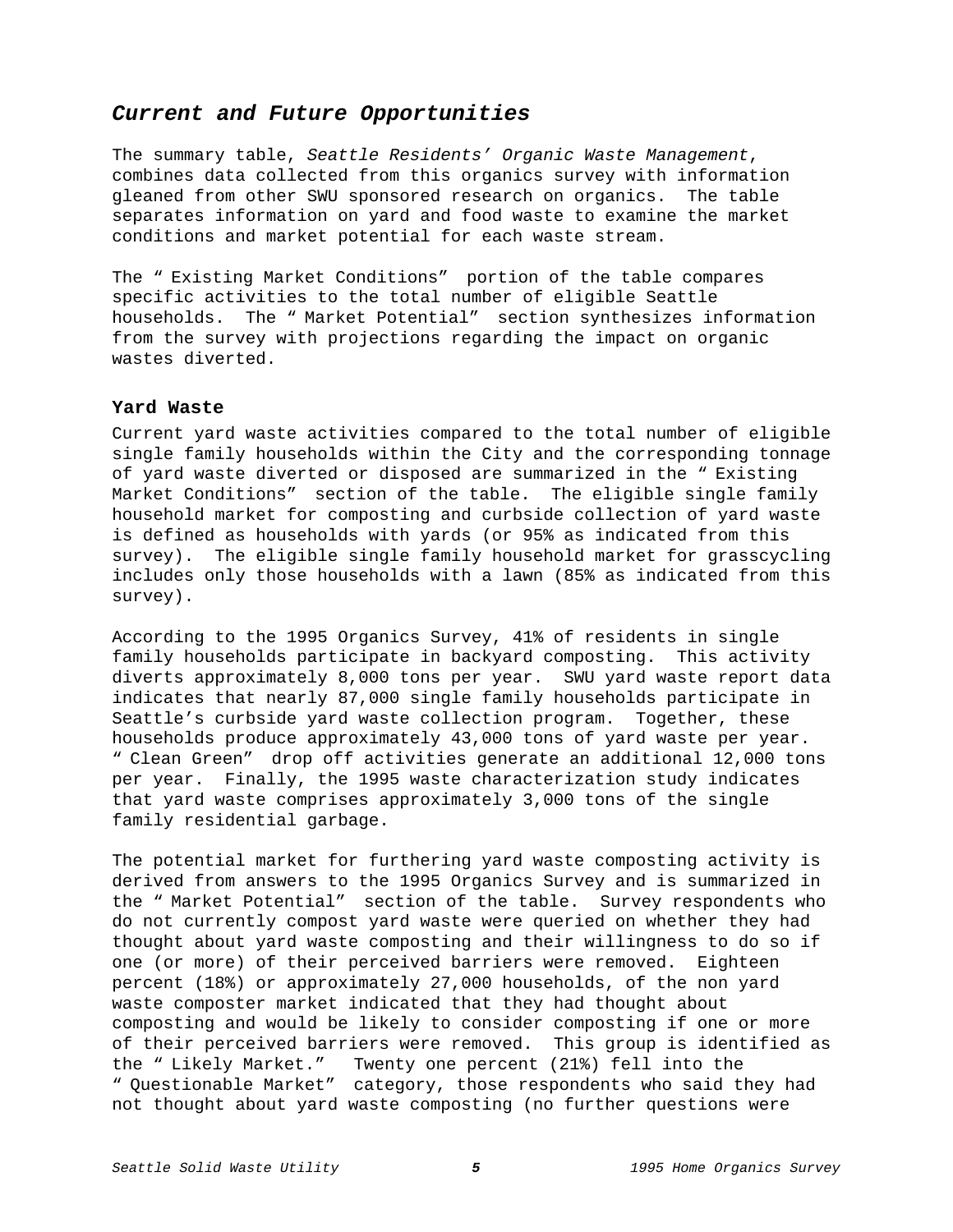#### <span id="page-4-0"></span>**Current and Future Opportunities**

The summary table, Seattle Residents' Organic Waste Management, combines data collected from this organics survey with information gleaned from other SWU sponsored research on organics. The table separates information on yard and food waste to examine the market conditions and market potential for each waste stream.

The " Existing Market Conditions" portion of the table compares specific activities to the total number of eligible Seattle households. The " Market Potential" section synthesizes information from the survey with projections regarding the impact on organic wastes diverted.

#### **Yard Waste**

Current yard waste activities compared to the total number of eligible single family households within the City and the corresponding tonnage of yard waste diverted or disposed are summarized in the " Existing Market Conditions" section of the table. The eligible single family household market for composting and curbside collection of yard waste is defined as households with yards (or 95% as indicated from this survey). The eligible single family household market for grasscycling includes only those households with a lawn (85% as indicated from this survey).

According to the 1995 Organics Survey, 41% of residents in single family households participate in backyard composting. This activity diverts approximately 8,000 tons per year. SWU yard waste report data indicates that nearly 87,000 single family households participate in Seattle's curbside yard waste collection program. Together, these households produce approximately 43,000 tons of yard waste per year. " Clean Green" drop off activities generate an additional 12,000 tons per year. Finally, the 1995 waste characterization study indicates that yard waste comprises approximately 3,000 tons of the single family residential garbage.

The potential market for furthering yard waste composting activity is derived from answers to the 1995 Organics Survey and is summarized in the " Market Potential" section of the table. Survey respondents who do not currently compost yard waste were queried on whether they had thought about yard waste composting and their willingness to do so if one (or more) of their perceived barriers were removed. Eighteen percent (18%) or approximately 27,000 households, of the non yard waste composter market indicated that they had thought about composting and would be likely to consider composting if one or more of their perceived barriers were removed. This group is identified as the " Likely Market." Twenty one percent (21%) fell into the " Questionable Market" category, those respondents who said they had not thought about yard waste composting (no further questions were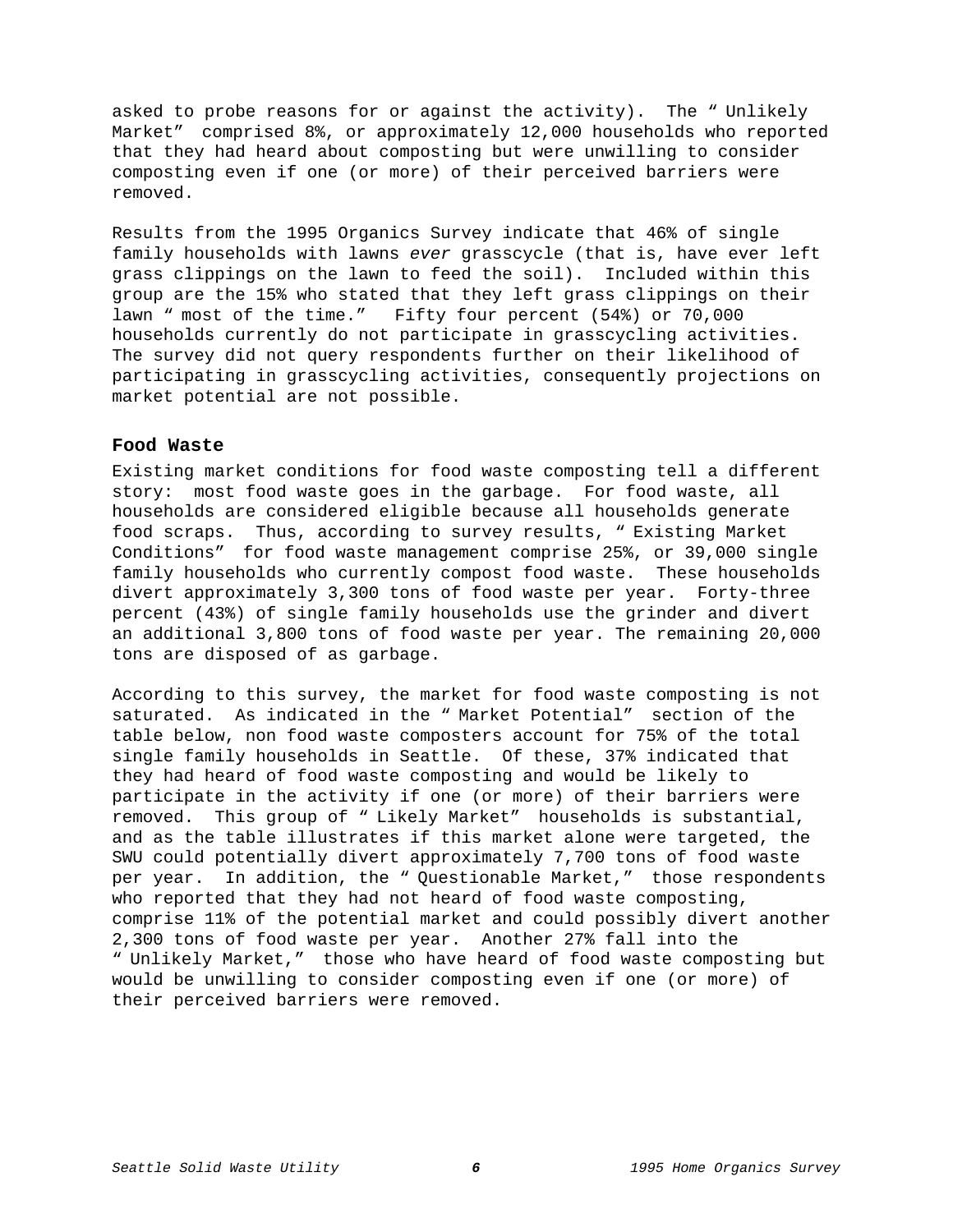asked to probe reasons for or against the activity). The " Unlikely Market" comprised 8%, or approximately 12,000 households who reported that they had heard about composting but were unwilling to consider composting even if one (or more) of their perceived barriers were removed.

Results from the 1995 Organics Survey indicate that 46% of single family households with lawns ever grasscycle (that is, have ever left grass clippings on the lawn to feed the soil). Included within this group are the 15% who stated that they left grass clippings on their lawn " most of the time." Fifty four percent (54%) or 70,000 households currently do not participate in grasscycling activities. The survey did not query respondents further on their likelihood of participating in grasscycling activities, consequently projections on market potential are not possible.

#### **Food Waste**

Existing market conditions for food waste composting tell a different story: most food waste goes in the garbage. For food waste, all households are considered eligible because all households generate food scraps. Thus, according to survey results, " Existing Market Conditions" for food waste management comprise 25%, or 39,000 single family households who currently compost food waste. These households divert approximately 3,300 tons of food waste per year. Forty-three percent (43%) of single family households use the grinder and divert an additional 3,800 tons of food waste per year. The remaining 20,000 tons are disposed of as garbage.

According to this survey, the market for food waste composting is not saturated. As indicated in the " Market Potential" section of the table below, non food waste composters account for 75% of the total single family households in Seattle. Of these, 37% indicated that they had heard of food waste composting and would be likely to participate in the activity if one (or more) of their barriers were removed. This group of " Likely Market" households is substantial, and as the table illustrates if this market alone were targeted, the SWU could potentially divert approximately 7,700 tons of food waste per year. In addition, the " Questionable Market," those respondents who reported that they had not heard of food waste composting, comprise 11% of the potential market and could possibly divert another 2,300 tons of food waste per year. Another 27% fall into the " Unlikely Market," those who have heard of food waste composting but would be unwilling to consider composting even if one (or more) of their perceived barriers were removed.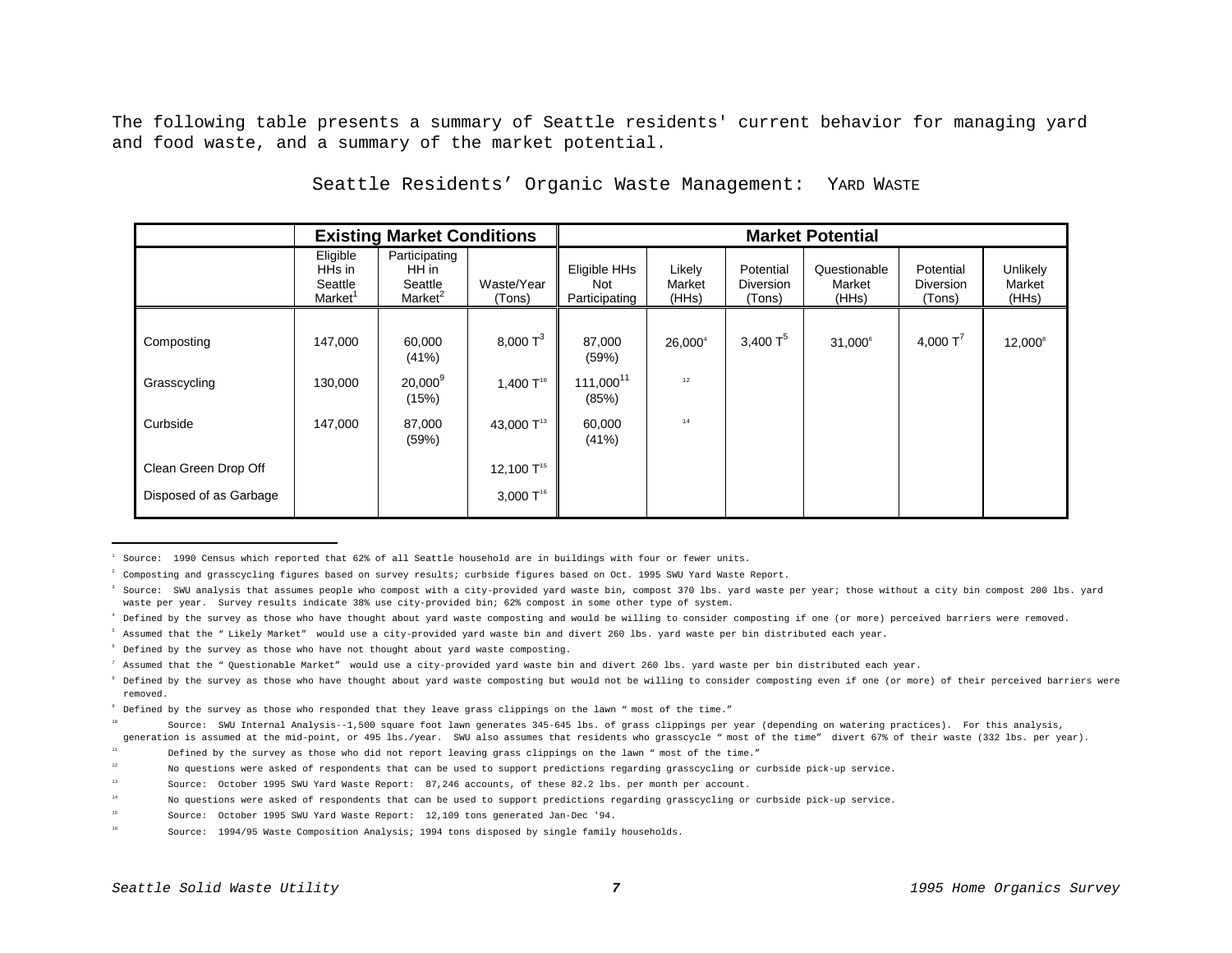The following table presents a summary of Seattle residents' current behavior for managing yard and food waste, and a summary of the market potential.

|                        | <b>Existing Market Conditions</b>                    |                                                          |                      | <b>Market Potential</b>              |                           |                                         |                                 |                                         |                                    |
|------------------------|------------------------------------------------------|----------------------------------------------------------|----------------------|--------------------------------------|---------------------------|-----------------------------------------|---------------------------------|-----------------------------------------|------------------------------------|
|                        | Eligible<br>HHs in<br>Seattle<br>Market <sup>1</sup> | Participating<br>HH in<br>Seattle<br>Market <sup>2</sup> | Waste/Year<br>(Tons) | Eligible HHs<br>Not<br>Participating | Likely<br>Market<br>(HHs) | Potential<br><b>Diversion</b><br>(Tons) | Questionable<br>Market<br>(HHs) | Potential<br><b>Diversion</b><br>(Tons) | <b>Unlikely</b><br>Market<br>(HHS) |
|                        |                                                      |                                                          |                      |                                      |                           |                                         |                                 |                                         |                                    |
| Composting             | 147,000                                              | 60,000<br>(41%)                                          | 8,000 $T^3$          | 87,000<br>(59%)                      | 26,000 <sup>4</sup>       | 3,400 $T^5$                             | 31,000 <sup>6</sup>             | 4,000 $T^7$                             | $12,000^{\circ}$                   |
| Grasscycling           | 130,000                                              | $20,000^9$<br>(15%)                                      | 1,400 $T^{10}$       | $111,000^{11}$<br>(85%)              | $1\,2$                    |                                         |                                 |                                         |                                    |
| Curbside               | 147,000                                              | 87,000<br>(59%)                                          | 43,000 $T^{13}$      | 60,000<br>(41%)                      | 14                        |                                         |                                 |                                         |                                    |
| Clean Green Drop Off   |                                                      |                                                          | 12,100 $T^{15}$      |                                      |                           |                                         |                                 |                                         |                                    |
| Disposed of as Garbage |                                                      |                                                          | 3,000 $T^{16}$       |                                      |                           |                                         |                                 |                                         |                                    |

Seattle Residents' Organic Waste Management: YARD WASTE

 $^1$  Source: 1990 Census which reported that 62% of all Seattle household are in buildings with four or fewer units.

 $^{\rm 2}$  Composting and grasscycling figures based on survey results; curbside figures based on Oct. 1995 SWU Yard Waste Report.

<sup>&</sup>lt;sup>3</sup> Source: SWU analysis that assumes people who compost with a city-provided yard waste bin, compost 370 lbs. yard waste per year; those without a city bin compost 200 lbs. yard waste per year. Survey results indicate 38% use city-provided bin; 62% compost in some other type of system.

<sup>4</sup> Defined by the survey as those who have thought about yard waste composting and would be willing to consider composting if one (or more) perceived barriers were removed.

 $^\circ$  Assumed that the " Likely Market" would use a city-provided yard waste bin and divert 260 lbs. yard waste per bin distributed each year.

<sup>6</sup> Defined by the survey as those who have not thought about yard waste composting.

<sup>7</sup> Assumed that the " Questionable Market" would use a city-provided yard waste bin and divert 260 lbs. yard waste per bin distributed each year.

<sup>&</sup>lt;sup>8</sup> Defined by the survey as those who have thought about yard waste composting but would not be willing to consider composting even if one (or more) of their perceived barriers were removed.

<sup>9</sup> Defined by the survey as those who responded that they leave grass clippings on the lawn " most of the time."

Source: SWU Internal Analysis--1,500 square foot lawn generates 345-645 lbs. of grass clippings per year (depending on watering practices). For this analysis,

generation is assumed at the mid-point, or 495 lbs./year. SWU also assumes that residents who grasscycle " most of the time" divert 67% of their waste (332 lbs. per year).

<sup>11</sup> Defined by the survey as those who did not report leaving grass clippings on the lawn " most of the time."

<sup>&</sup>lt;sup>12</sup> No questions were asked of respondents that can be used to support predictions regarding grasscycling or curbside pick-up service.

<sup>13</sup> Source: October 1995 SWU Yard Waste Report: 87,246 accounts, of these 82.2 lbs. per month per account.

<sup>14</sup> No questions were asked of respondents that can be used to support predictions regarding grasscycling or curbside pick-up service.

<sup>15</sup> Source: October 1995 SWU Yard Waste Report: 12,109 tons generated Jan-Dec '94.

<sup>16</sup> Source: 1994/95 Waste Composition Analysis; 1994 tons disposed by single family households.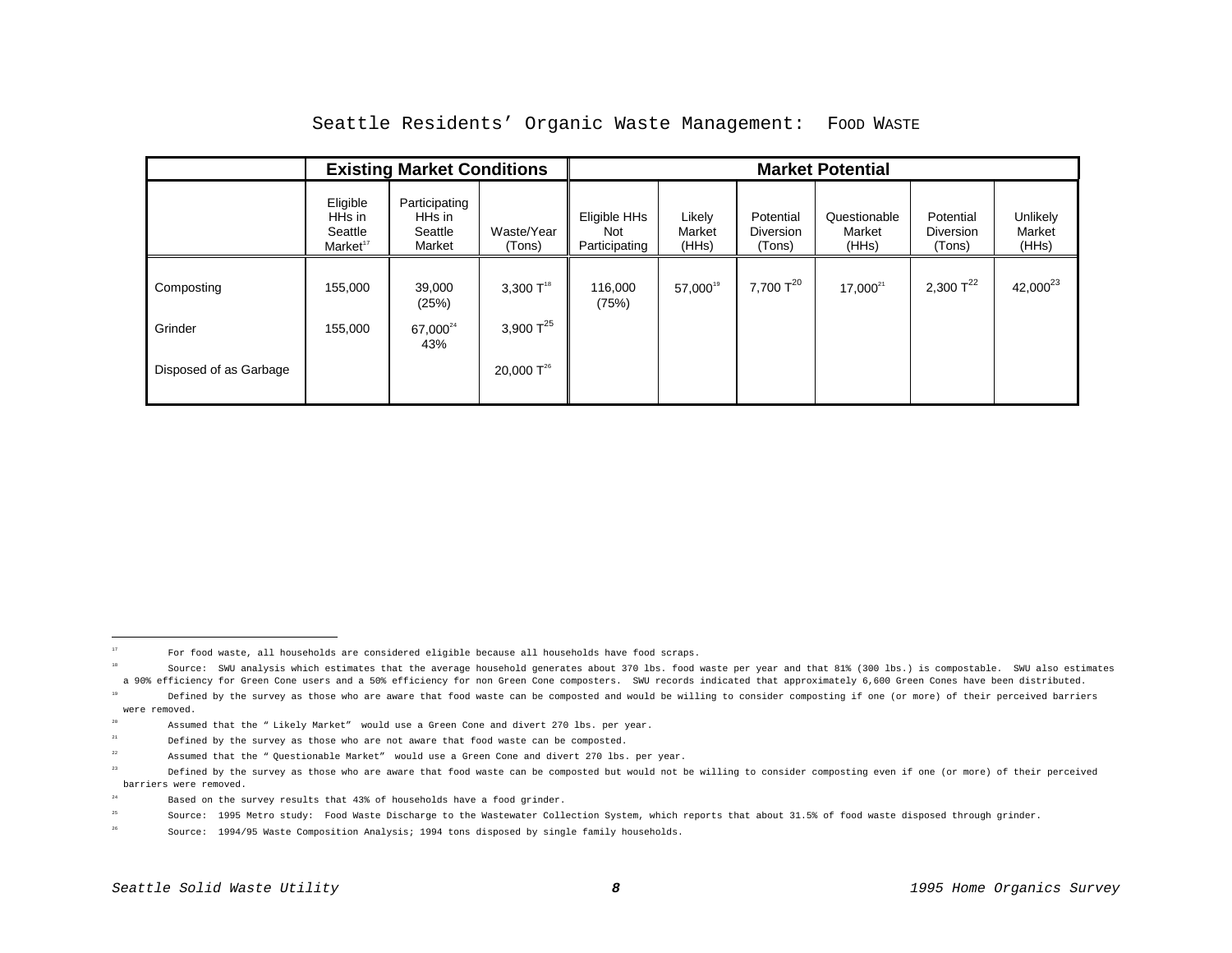|                        | <b>Existing Market Conditions</b>            |                                              |                      |                                      |                           |                                         | <b>Market Potential</b>         |                                  |                             |
|------------------------|----------------------------------------------|----------------------------------------------|----------------------|--------------------------------------|---------------------------|-----------------------------------------|---------------------------------|----------------------------------|-----------------------------|
|                        | Eligible<br>HHs in<br>Seattle<br>Market $17$ | Participating<br>HHs in<br>Seattle<br>Market | Waste/Year<br>(Tons) | Eligible HHs<br>Not<br>Participating | Likely<br>Market<br>(HHS) | Potential<br><b>Diversion</b><br>(Tons) | Questionable<br>Market<br>(HHs) | Potential<br>Diversion<br>(Tons) | Unlikely<br>Market<br>(HHs) |
| Composting             | 155,000                                      | 39,000<br>(25%)                              | 3,300 $T^{18}$       | 116,000<br>(75%)                     | $57,000^{19}$             | 7,700 $T^{20}$                          | $17,000^{21}$                   | 2,300 $T^{22}$                   | 42,000 <sup>23</sup>        |
| Grinder                | 155,000                                      | 67,000 <sup>24</sup><br>43%                  | 3,900 $T^{25}$       |                                      |                           |                                         |                                 |                                  |                             |
| Disposed of as Garbage |                                              |                                              | 20.000 $T^{26}$      |                                      |                           |                                         |                                 |                                  |                             |

#### Seattle Residents' Organic Waste Management: FOOD WASTE

<sup>&</sup>lt;sup>17</sup> For food waste, all households are considered eligible because all households have food scraps.

<sup>&</sup>lt;sup>18</sup> Source: SWU analysis which estimates that the average household generates about 370 lbs. food waste per year and that 81% (300 lbs.) is compostable. SWU also estimates a 90% efficiency for Green Cone users and a 50% efficiency for non Green Cone composters. SWU records indicated that approximately 6,600 Green Cones have been distributed.

<sup>&</sup>lt;sup>19</sup> Defined by the survey as those who are aware that food waste can be composted and would be willing to consider composting if one (or more) of their perceived barriers were removed.

<sup>&</sup>lt;sup>20</sup> Assumed that the " Likely Market" would use a Green Cone and divert 270 lbs. per year.

 $21$  Defined by the survey as those who are not aware that food waste can be composted.

 $22$  Assumed that the " Questionable Market" would use a Green Cone and divert 270 lbs. per year.

Defined by the survey as those who are aware that food waste can be composted but would not be willing to consider composting even if one (or more) of their perceived barriers were removed.

<sup>24</sup> Based on the survey results that 43% of households have a food grinder.

<sup>25</sup> Source: 1995 Metro study: Food Waste Discharge to the Wastewater Collection System, which reports that about 31.5% of food waste disposed through grinder.

<sup>26</sup> Source: 1994/95 Waste Composition Analysis; 1994 tons disposed by single family households.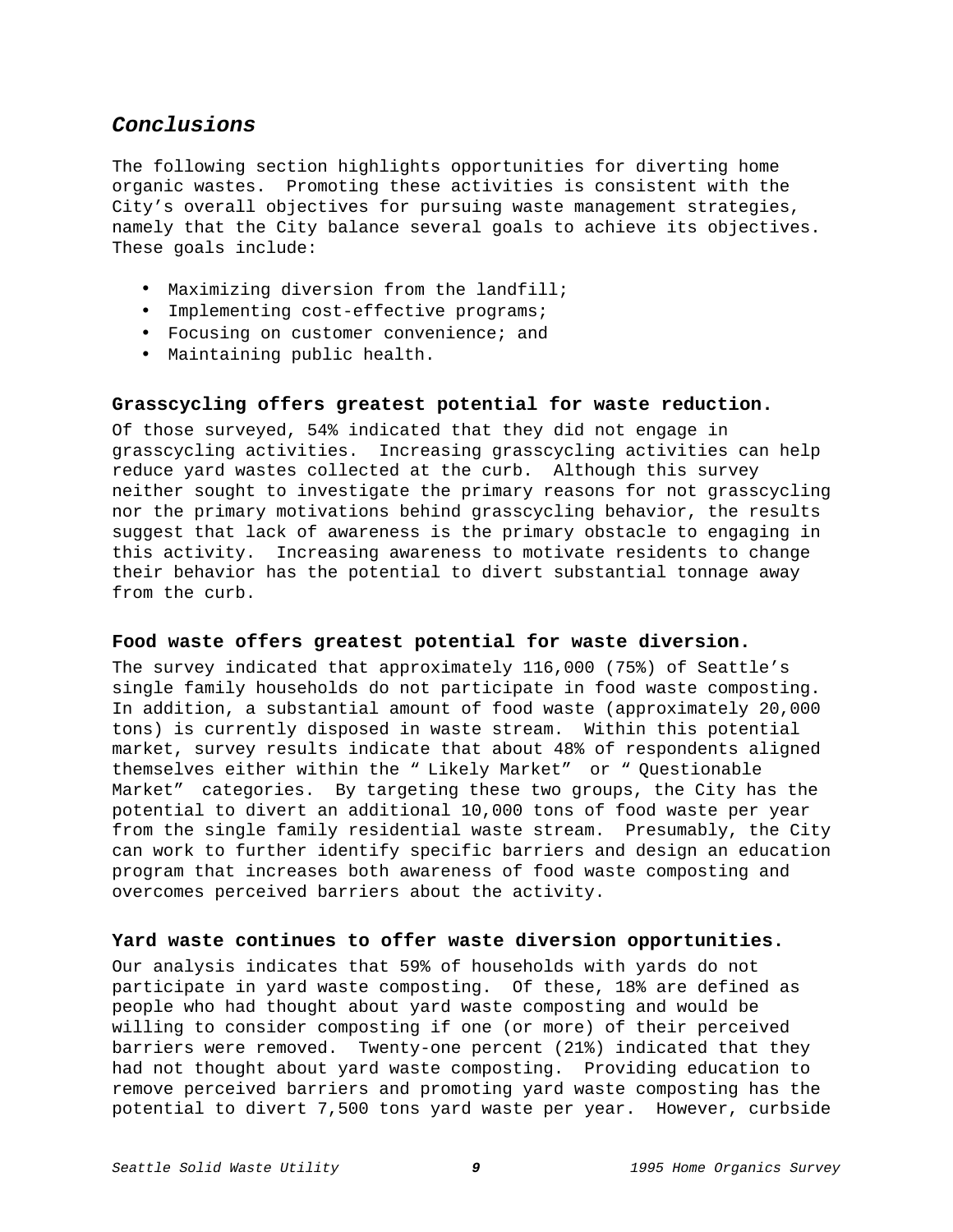# <span id="page-8-0"></span>**Conclusions**

The following section highlights opportunities for diverting home organic wastes. Promoting these activities is consistent with the City's overall objectives for pursuing waste management strategies, namely that the City balance several goals to achieve its objectives. These goals include:

- Maximizing diversion from the landfill;
- Implementing cost-effective programs;
- Focusing on customer convenience; and
- Maintaining public health.

#### **Grasscycling offers greatest potential for waste reduction.**

Of those surveyed, 54% indicated that they did not engage in grasscycling activities. Increasing grasscycling activities can help reduce yard wastes collected at the curb. Although this survey neither sought to investigate the primary reasons for not grasscycling nor the primary motivations behind grasscycling behavior, the results suggest that lack of awareness is the primary obstacle to engaging in this activity. Increasing awareness to motivate residents to change their behavior has the potential to divert substantial tonnage away from the curb.

#### **Food waste offers greatest potential for waste diversion.**

The survey indicated that approximately 116,000 (75%) of Seattle's single family households do not participate in food waste composting. In addition, a substantial amount of food waste (approximately 20,000 tons) is currently disposed in waste stream. Within this potential market, survey results indicate that about 48% of respondents aligned themselves either within the " Likely Market" or " Questionable Market" categories. By targeting these two groups, the City has the potential to divert an additional 10,000 tons of food waste per year from the single family residential waste stream. Presumably, the City can work to further identify specific barriers and design an education program that increases both awareness of food waste composting and overcomes perceived barriers about the activity.

#### **Yard waste continues to offer waste diversion opportunities.**

Our analysis indicates that 59% of households with yards do not participate in yard waste composting. Of these, 18% are defined as people who had thought about yard waste composting and would be willing to consider composting if one (or more) of their perceived barriers were removed. Twenty-one percent (21%) indicated that they had not thought about yard waste composting. Providing education to remove perceived barriers and promoting yard waste composting has the potential to divert 7,500 tons yard waste per year. However, curbside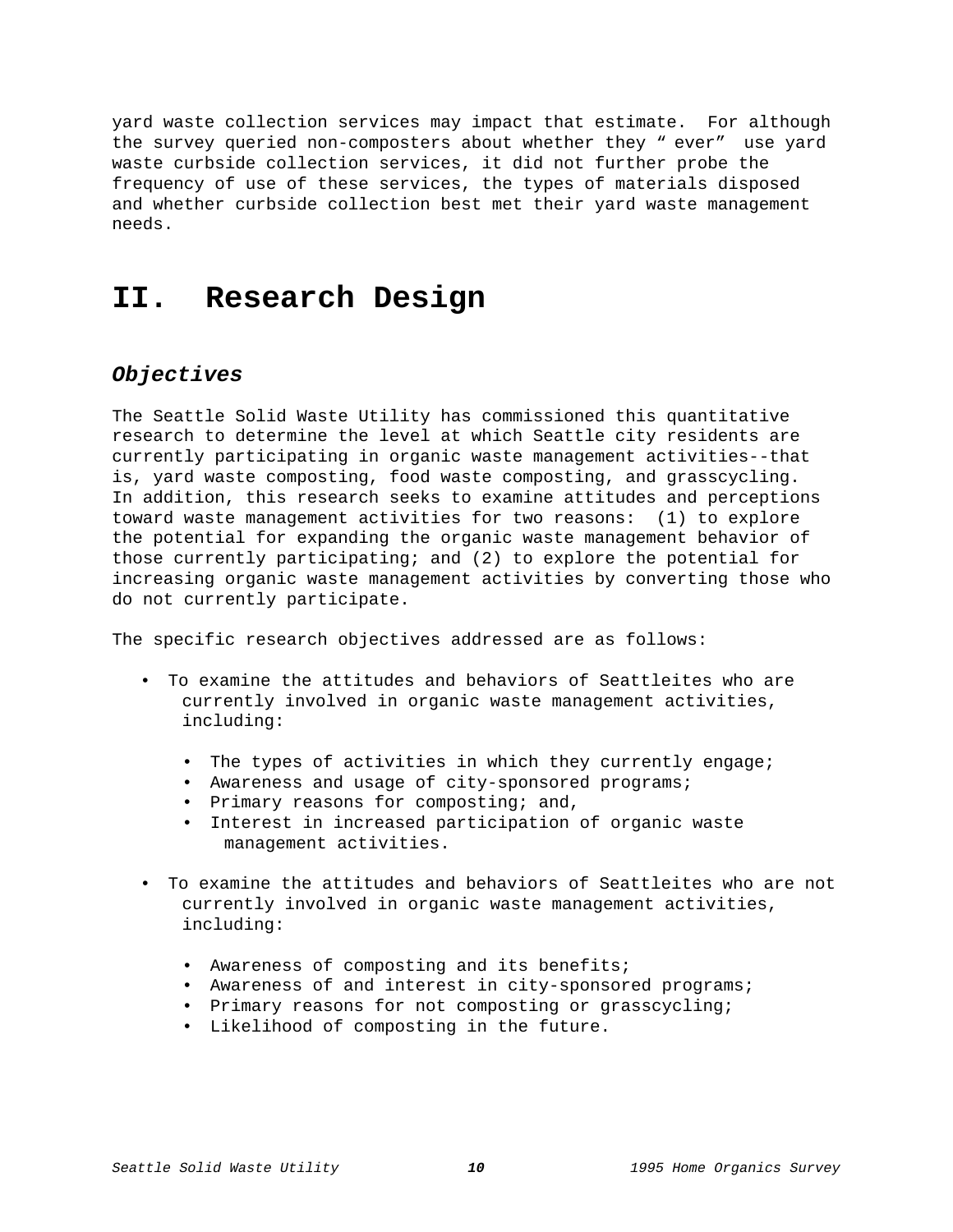<span id="page-9-0"></span>yard waste collection services may impact that estimate. For although the survey queried non-composters about whether they " ever" use yard waste curbside collection services, it did not further probe the frequency of use of these services, the types of materials disposed and whether curbside collection best met their yard waste management needs.

# **II. Research Design**

# **Objectives**

The Seattle Solid Waste Utility has commissioned this quantitative research to determine the level at which Seattle city residents are currently participating in organic waste management activities--that is, yard waste composting, food waste composting, and grasscycling. In addition, this research seeks to examine attitudes and perceptions toward waste management activities for two reasons: (1) to explore the potential for expanding the organic waste management behavior of those currently participating; and (2) to explore the potential for increasing organic waste management activities by converting those who do not currently participate.

The specific research objectives addressed are as follows:

- To examine the attitudes and behaviors of Seattleites who are currently involved in organic waste management activities, including:
	- The types of activities in which they currently engage;
	- Awareness and usage of city-sponsored programs;
	- Primary reasons for composting; and,
	- Interest in increased participation of organic waste management activities.
- To examine the attitudes and behaviors of Seattleites who are not currently involved in organic waste management activities, including:
	- Awareness of composting and its benefits;
	- Awareness of and interest in city-sponsored programs;
	- Primary reasons for not composting or grasscycling;
	- Likelihood of composting in the future.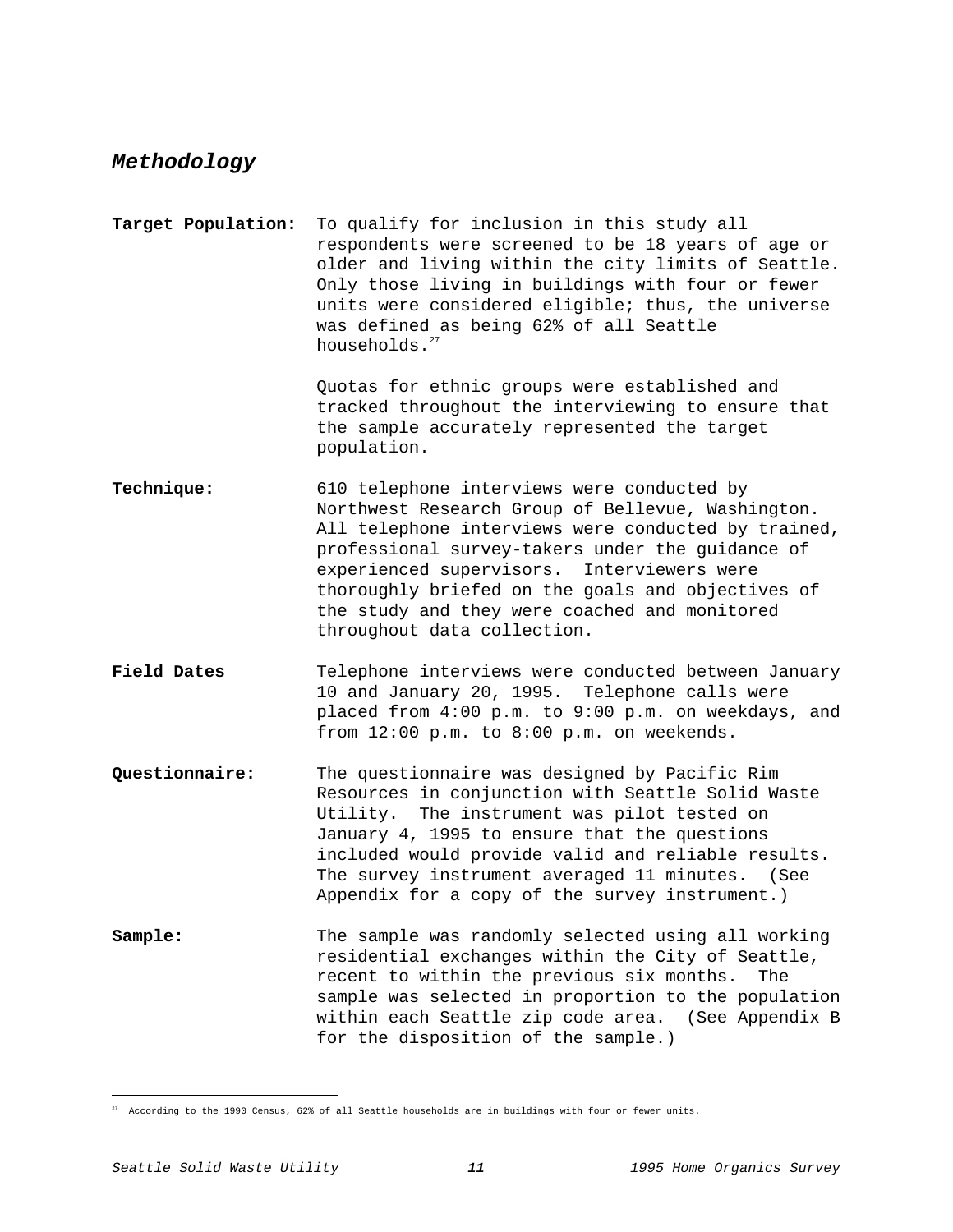# <span id="page-10-0"></span>**Methodology**

**Target Population:** To qualify for inclusion in this study all respondents were screened to be 18 years of age or older and living within the city limits of Seattle. Only those living in buildings with four or fewer units were considered eligible; thus, the universe was defined as being 62% of all Seattle households.27

> Quotas for ethnic groups were established and tracked throughout the interviewing to ensure that the sample accurately represented the target population.

- **Technique:** 610 telephone interviews were conducted by Northwest Research Group of Bellevue, Washington. All telephone interviews were conducted by trained, professional survey-takers under the guidance of experienced supervisors. Interviewers were thoroughly briefed on the goals and objectives of the study and they were coached and monitored throughout data collection.
- **Field Dates** Telephone interviews were conducted between January 10 and January 20, 1995. Telephone calls were placed from 4:00 p.m. to 9:00 p.m. on weekdays, and from 12:00 p.m. to 8:00 p.m. on weekends.
- **Questionnaire:** The questionnaire was designed by Pacific Rim Resources in conjunction with Seattle Solid Waste Utility. The instrument was pilot tested on January 4, 1995 to ensure that the questions included would provide valid and reliable results. The survey instrument averaged 11 minutes. (See Appendix for a copy of the survey instrument.)
- **Sample:** The sample was randomly selected using all working residential exchanges within the City of Seattle, recent to within the previous six months. The sample was selected in proportion to the population within each Seattle zip code area. (See Appendix B for the disposition of the sample.)

Ξ

 $^{77}$  According to the 1990 Census, 62% of all Seattle households are in buildings with four or fewer units.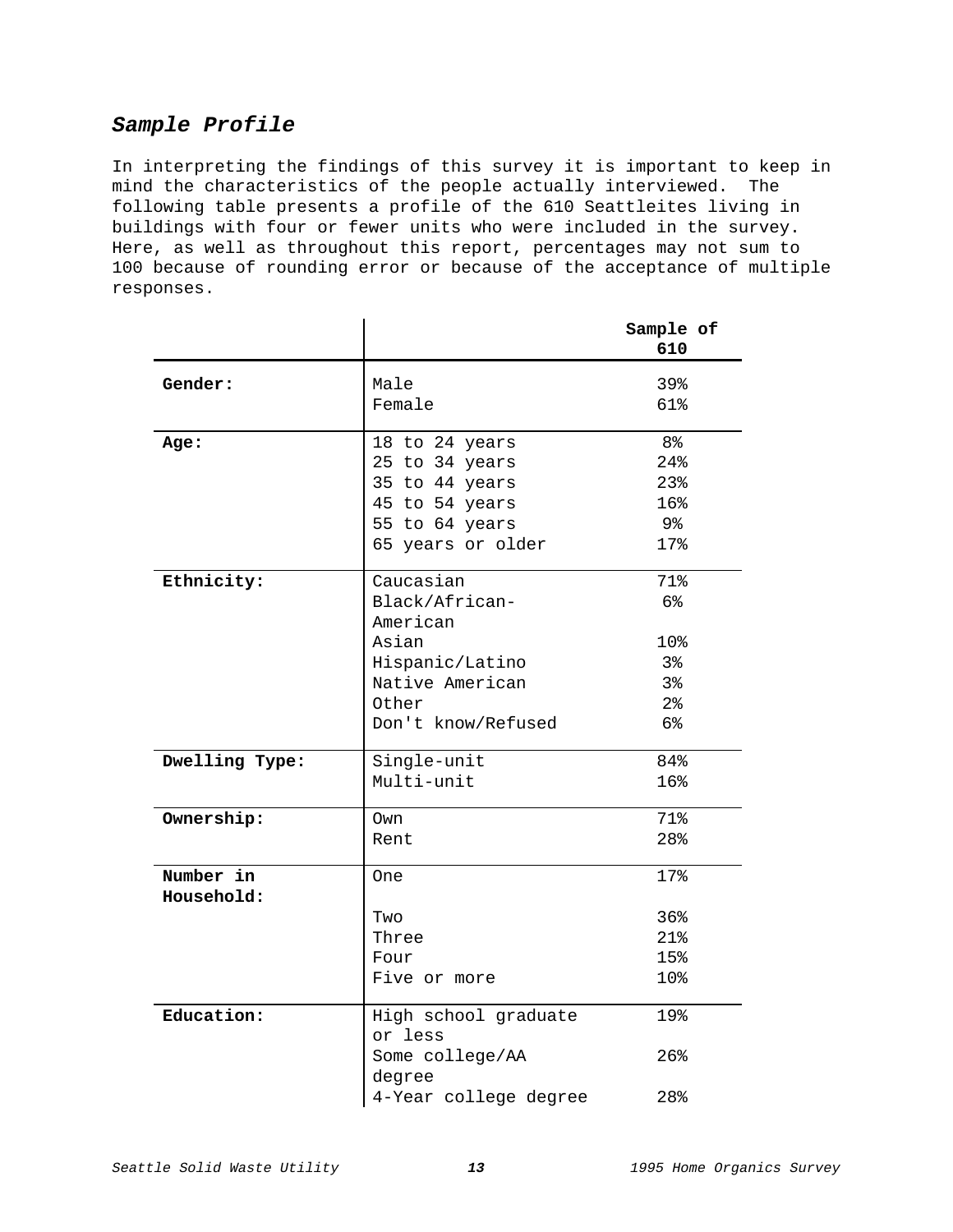# <span id="page-12-0"></span>**Sample Profile**

In interpreting the findings of this survey it is important to keep in mind the characteristics of the people actually interviewed. The following table presents a profile of the 610 Seattleites living in buildings with four or fewer units who were included in the survey. Here, as well as throughout this report, percentages may not sum to 100 because of rounding error or because of the acceptance of multiple responses.

|                         |                                 | Sample of<br>610 |
|-------------------------|---------------------------------|------------------|
| Gender:                 | Male                            | 39%              |
|                         | Female                          | 61%              |
| Age:                    | 18 to 24 years                  | 8 <sup>°</sup>   |
|                         | 25 to 34 years                  | 24%              |
|                         | 35 to 44 years                  | 23%              |
|                         | 45 to 54 years                  | 16%              |
|                         | 55 to 64 years                  | 9%               |
|                         | 65 years or older               | 17 <sub>8</sub>  |
| Ethnicity:              | Caucasian                       | 71%              |
|                         | Black/African-                  | 6%               |
|                         | American                        |                  |
|                         | Asian                           | 10%              |
|                         | Hispanic/Latino                 | 3%               |
|                         | Native American                 | 3%               |
|                         | Other                           | 2 <sup>°</sup>   |
|                         | Don't know/Refused              | 6%               |
| Dwelling Type:          | Single-unit                     | 84%              |
|                         | Multi-unit                      | 16%              |
| Ownership:              | Own                             | 71%              |
|                         | Rent                            | 28%              |
| Number in<br>Household: | 0ne                             | 17 <sub>8</sub>  |
|                         | Two                             | 36%              |
|                         | Three                           | 21%              |
|                         | Four                            | 15%              |
|                         | Five or more                    | 10 <sub>8</sub>  |
| Education:              | High school graduate<br>or less | 19%              |
|                         | Some college/AA<br>degree       | $26$ $%$         |
|                         | 4-Year college degree           | 28%              |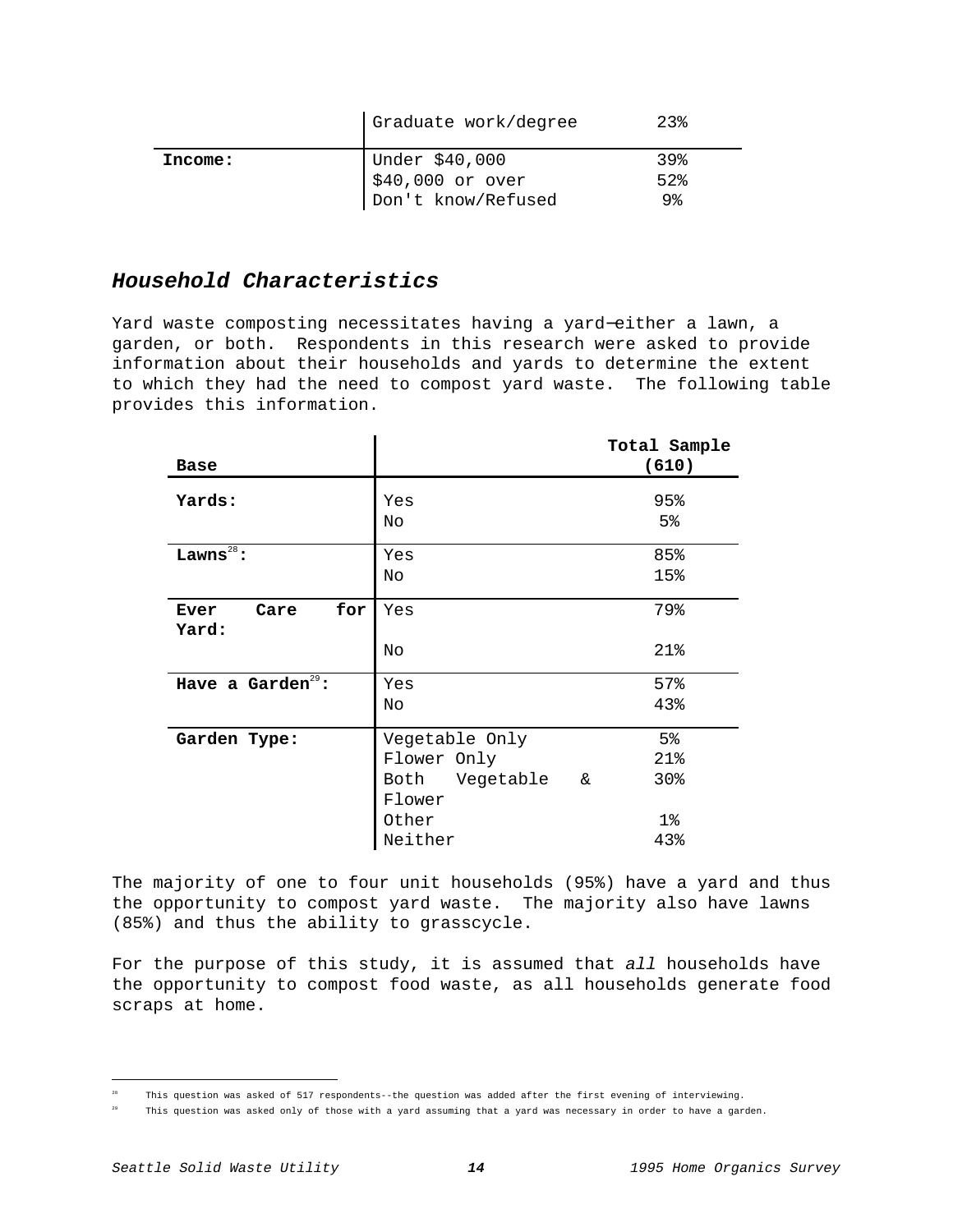<span id="page-13-0"></span>

|         | Graduate work/degree | 23 <sub>8</sub> |
|---------|----------------------|-----------------|
| Income: | Under \$40,000       | 39%             |
|         | $$40,000$ or over    | 52              |
|         | Don't know/Refused   | 9%              |

# **Household Characteristics**

Yard waste composting necessitates having a yard−either a lawn, a garden, or both. Respondents in this research were asked to provide information about their households and yards to determine the extent to which they had the need to compost yard waste. The following table provides this information.

|                               |                | Total Sample   |
|-------------------------------|----------------|----------------|
| <b>Base</b>                   |                | (610)          |
| Yards:                        | Yes            | 95%            |
|                               | No             | 5%             |
| Lawns <sup>28</sup> :         | Yes            | 85%            |
|                               | No             | 15%            |
| for<br>Care<br>Ever<br>Yard:  | Yes            | 79%            |
|                               | No             | 21%            |
| Have a Garden <sup>29</sup> : | Yes            | 57%            |
|                               | No             | 43%            |
| Garden Type:                  | Vegetable Only | 5 <sup>°</sup> |
|                               | Flower Only    | 21%            |
|                               | Both Vegetable | 30%<br>&       |
|                               | Flower         |                |
|                               | Other          | $1\%$          |
|                               | Neither        | 43%            |

The majority of one to four unit households (95%) have a yard and thus the opportunity to compost yard waste. The majority also have lawns (85%) and thus the ability to grasscycle.

For the purpose of this study, it is assumed that all households have the opportunity to compost food waste, as all households generate food scraps at home.

Ξ

This question was asked of 517 respondents--the question was added after the first evening of interviewing.

This question was asked only of those with a yard assuming that a yard was necessary in order to have a garden.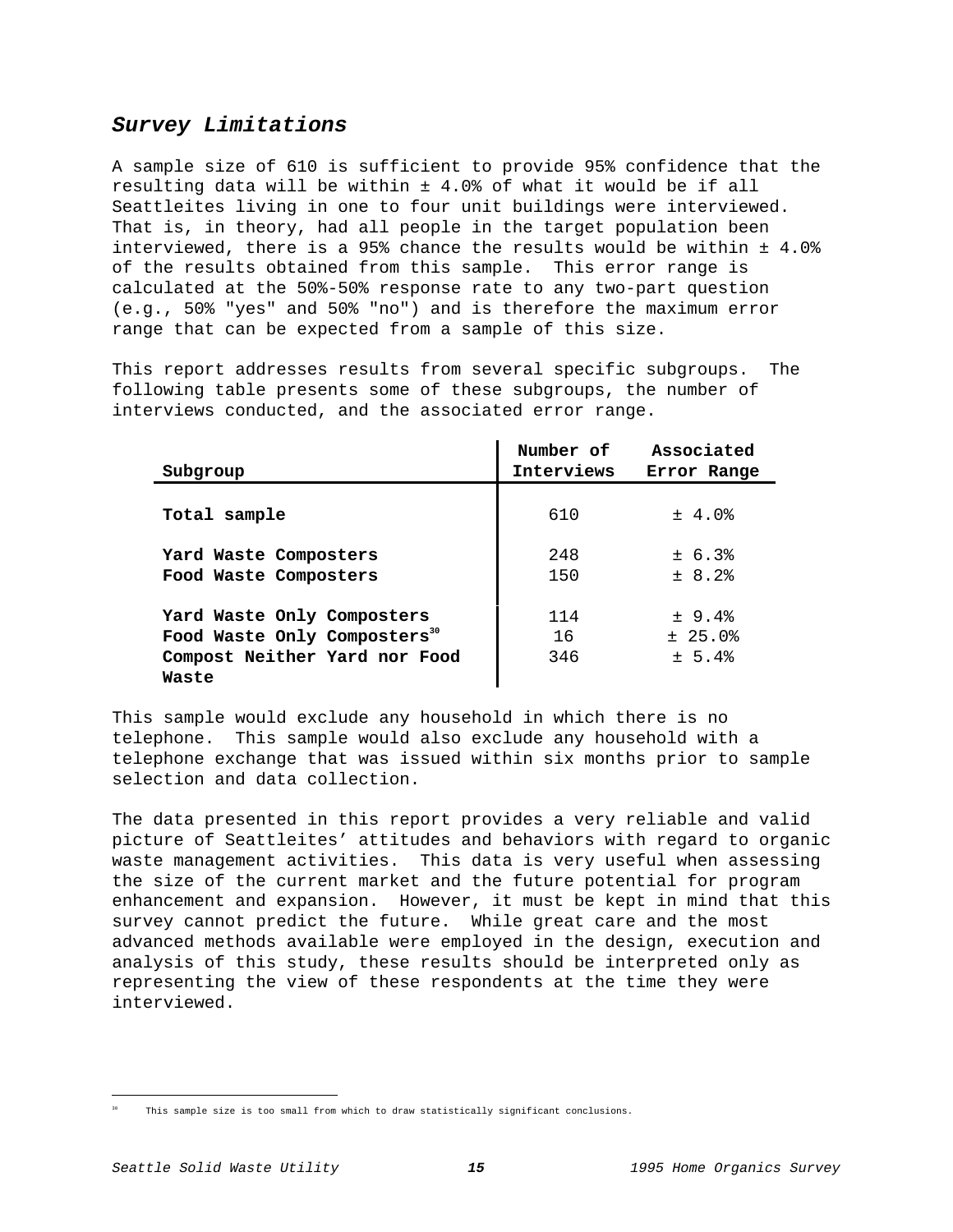# <span id="page-14-0"></span>**Survey Limitations**

A sample size of 610 is sufficient to provide 95% confidence that the resulting data will be within ± 4.0% of what it would be if all Seattleites living in one to four unit buildings were interviewed. That is, in theory, had all people in the target population been interviewed, there is a 95% chance the results would be within ± 4.0% of the results obtained from this sample. This error range is calculated at the 50%-50% response rate to any two-part question (e.g., 50% "yes" and 50% "no") and is therefore the maximum error range that can be expected from a sample of this size.

This report addresses results from several specific subgroups. The following table presents some of these subgroups, the number of interviews conducted, and the associated error range.

| Subgroup                                                                                                         | Number of<br>Interviews | Associated<br>Error Range   |
|------------------------------------------------------------------------------------------------------------------|-------------------------|-----------------------------|
| Total sample                                                                                                     | 610                     | ± 4.0%                      |
| Yard Waste Composters<br>Food Waste Composters                                                                   | 248<br>150              | ± 6.3%<br>± 8.2%            |
| Yard Waste Only Composters<br>Food Waste Only Composters <sup>30</sup><br>Compost Neither Yard nor Food<br>Waste | 114<br>16<br>346        | ± 9.4%<br>± 25.0%<br>± 5.4% |

This sample would exclude any household in which there is no telephone. This sample would also exclude any household with a telephone exchange that was issued within six months prior to sample selection and data collection.

The data presented in this report provides a very reliable and valid picture of Seattleites' attitudes and behaviors with regard to organic waste management activities. This data is very useful when assessing the size of the current market and the future potential for program enhancement and expansion. However, it must be kept in mind that this survey cannot predict the future. While great care and the most advanced methods available were employed in the design, execution and analysis of this study, these results should be interpreted only as representing the view of these respondents at the time they were interviewed.

Ξ This sample size is too small from which to draw statistically significant conclusions.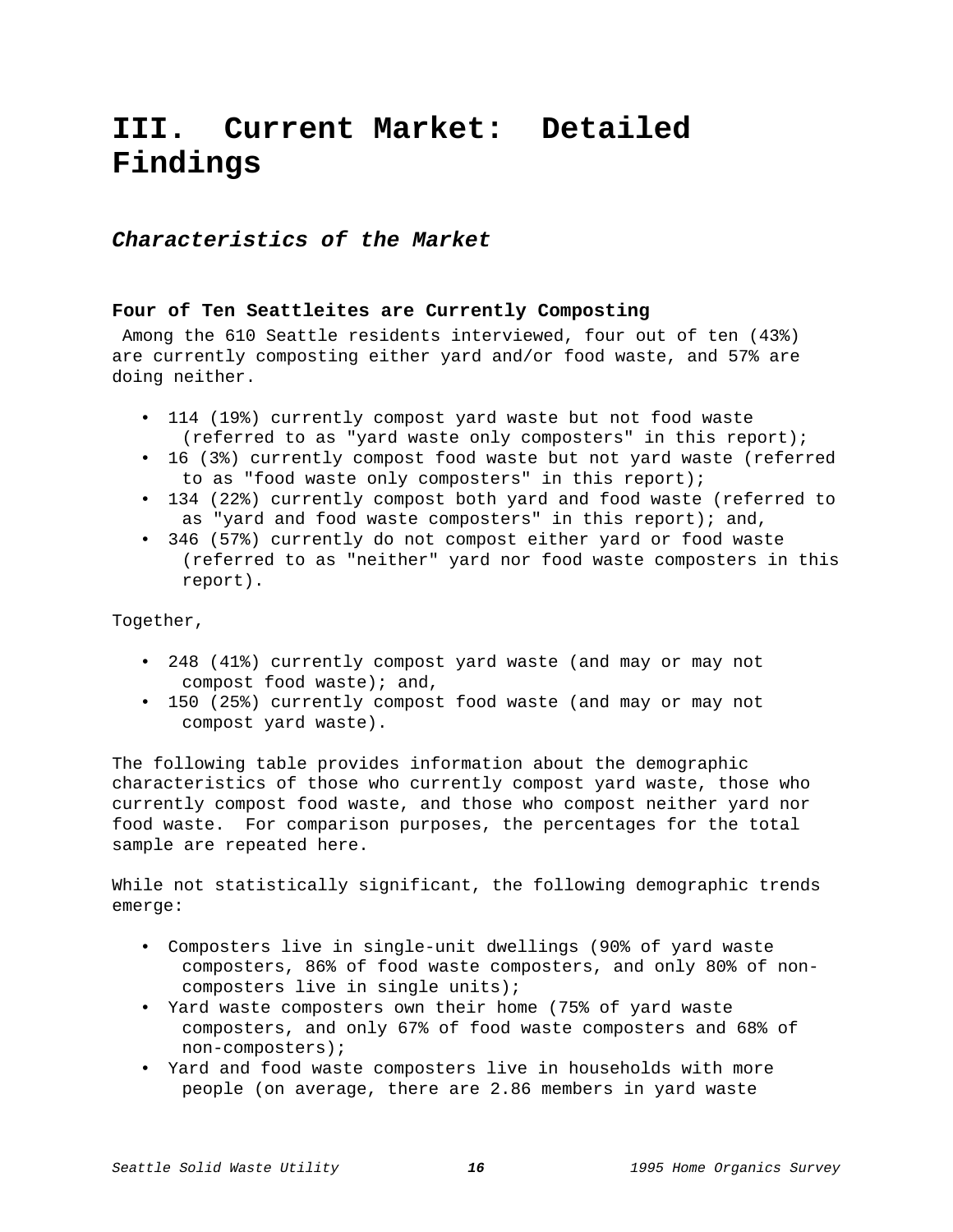# <span id="page-15-0"></span>**III. Current Market: Detailed Findings**

# **Characteristics of the Market**

#### **Four of Ten Seattleites are Currently Composting**

 Among the 610 Seattle residents interviewed, four out of ten (43%) are currently composting either yard and/or food waste, and 57% are doing neither.

- 114 (19%) currently compost yard waste but not food waste (referred to as "yard waste only composters" in this report);
- 16 (3%) currently compost food waste but not yard waste (referred to as "food waste only composters" in this report);
- 134 (22%) currently compost both yard and food waste (referred to as "yard and food waste composters" in this report); and,
- 346 (57%) currently do not compost either yard or food waste (referred to as "neither" yard nor food waste composters in this report).

Together,

- 248 (41%) currently compost yard waste (and may or may not compost food waste); and,
- 150 (25%) currently compost food waste (and may or may not compost yard waste).

The following table provides information about the demographic characteristics of those who currently compost yard waste, those who currently compost food waste, and those who compost neither yard nor food waste. For comparison purposes, the percentages for the total sample are repeated here.

While not statistically significant, the following demographic trends emerge:

- Composters live in single-unit dwellings (90% of yard waste composters, 86% of food waste composters, and only 80% of noncomposters live in single units);
- Yard waste composters own their home (75% of yard waste composters, and only 67% of food waste composters and 68% of non-composters);
- Yard and food waste composters live in households with more people (on average, there are 2.86 members in yard waste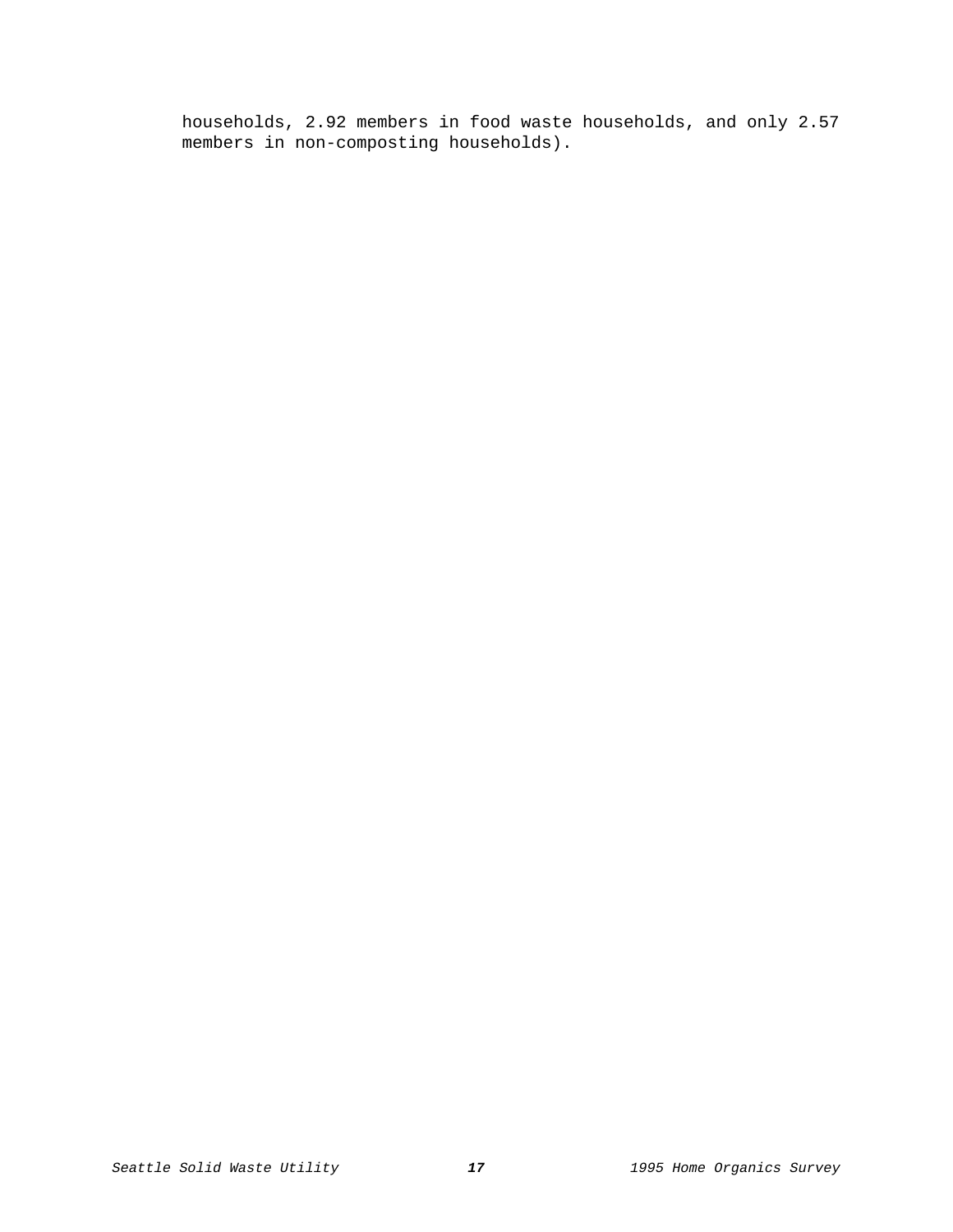households, 2.92 members in food waste households, and only 2.57 members in non-composting households).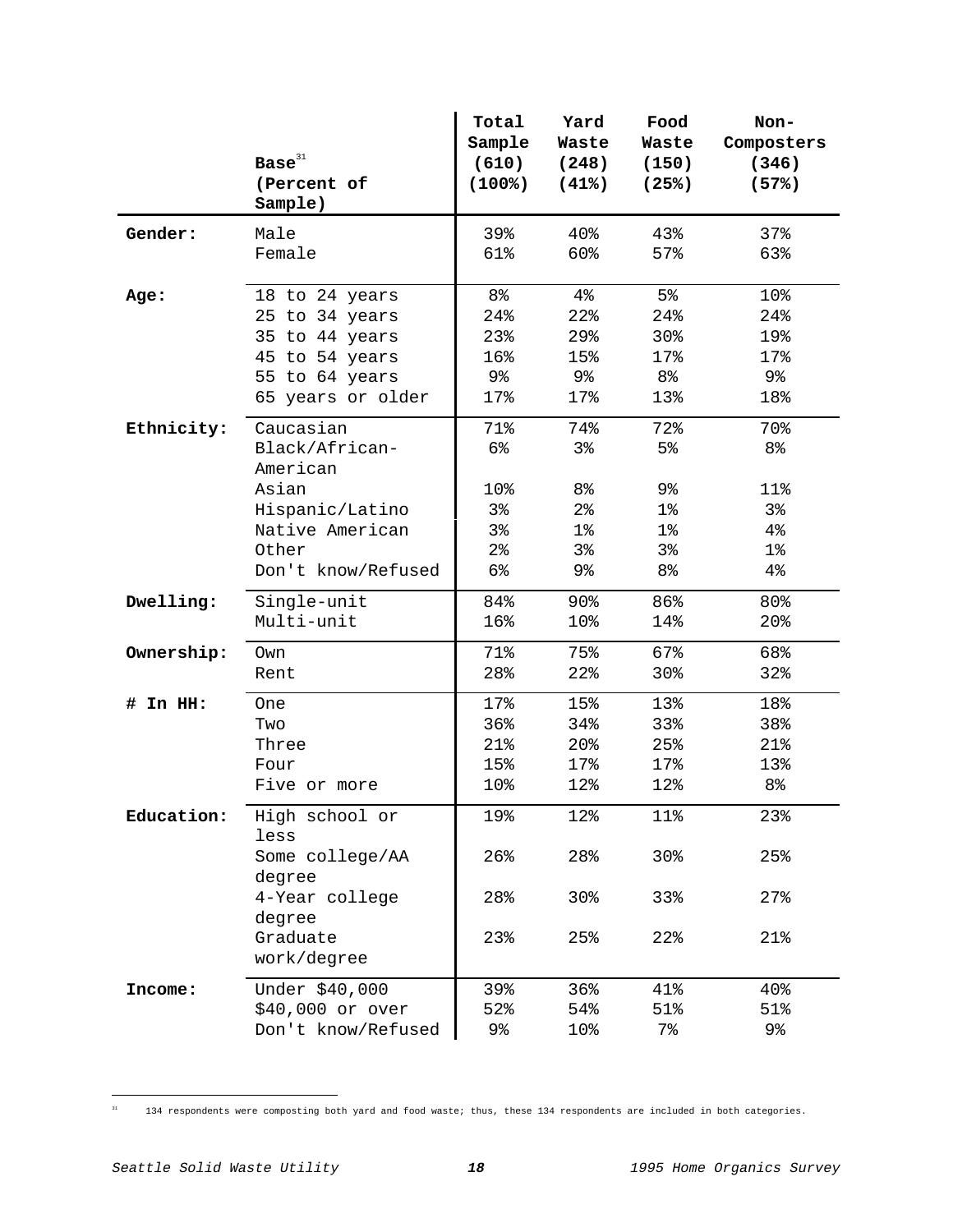|            |                        | Total               | Yard           | Food           | Non-           |
|------------|------------------------|---------------------|----------------|----------------|----------------|
|            |                        | Sample              | Waste          | Waste          | Composters     |
|            | $\textbf{Base}^{31}$   | (610)               | (248)          | (150)          | (346)          |
|            | (Percent of<br>Sample) | (100 <sup>8</sup> ) | (41%)          | (25%)          | (57%)          |
|            |                        |                     |                |                |                |
| Gender:    | Male                   | 39%                 | $40\%$         | 43%            | 37%            |
|            | Female                 | 61%                 | 60%            | 57%            | 63%            |
| Age:       | 18 to 24 years         | 8 <sup>°</sup>      | $4\%$          | 5%             | 10%            |
|            | 25 to 34 years         | 24%                 | 22%            | 24%            | 24%            |
|            | 35 to 44 years         | 23%                 | 29%            | 30%            | 19%            |
|            | 45 to 54 years         | 16%                 | 15%            | 17%            | 17%            |
|            | 55 to 64 years         | 9%                  | 9%             | 8 <sup>°</sup> | 9 <sub>8</sub> |
|            | 65 years or older      | 17%                 | 17%            | 13%            | 18%            |
| Ethnicity: | Caucasian              | 71%                 | 74%            | 72%            | 70%            |
|            | Black/African-         | $6\%$               | 3%             | 5 <sup>°</sup> | 8 <sup>°</sup> |
|            | American               |                     |                |                |                |
|            | Asian                  | 10%                 | 8 <sup>°</sup> | 9%             | 11%            |
|            | Hispanic/Latino        | 3%                  | 2 <sup>°</sup> | $1\%$          | 3%             |
|            | Native American        | 3%                  | $1\%$          | $1\%$          | 4%             |
|            | Other                  | $2\,$               | $3\,$          | 3%             | $1\%$          |
|            | Don't know/Refused     | 6%                  | 9%             | 8 <sup>°</sup> | 4%             |
| Dwelling:  | Single-unit            | 84%                 | 90%            | 86%            | 80%            |
|            | Multi-unit             | 16%                 | 10%            | 14%            | 20%            |
| Ownership: | Own                    | 71%                 | 75%            | 67%            | 68%            |
|            | Rent                   | 28%                 | 22%            | 30%            | 32%            |
| # In HH:   | <b>One</b>             | 17%                 | 15%            | 13%            | 18%            |
|            | Two                    | 36%                 | 34%            | 33%            | 38%            |
|            | Three                  | 21%                 | 20%            | 25%            | 21%            |
|            | Four                   | 15%                 | 17%            | 17%            | 13%            |
|            | Five or more           | 10%                 | 12%            | 12%            | 8 <sup>°</sup> |
| Education: | High school or         | 19%                 | 12%            | 11%            | 23%            |
|            | less                   |                     |                |                |                |
|            | Some college/AA        | 26%                 | 28%            | 30%            | 25%            |
|            | degree                 |                     |                |                |                |
|            | 4-Year college         | 28%                 | 30%            | 33%            | 27%            |
|            | degree                 |                     |                |                |                |
|            | Graduate               | 23%                 | 25%            | 22%            | 21%            |
|            | work/degree            |                     |                |                |                |
| Income:    | Under \$40,000         | 39%                 | 36%            | 41%            | 40%            |
|            | \$40,000 or over       | 52%                 | 54%            | 51%            | 51%            |
|            | Don't know/Refused     | 9%                  | 10%            | $7\,$          | 9%             |

 $_{31}$ 31 134 respondents were composting both yard and food waste; thus, these 134 respondents are included in both categories.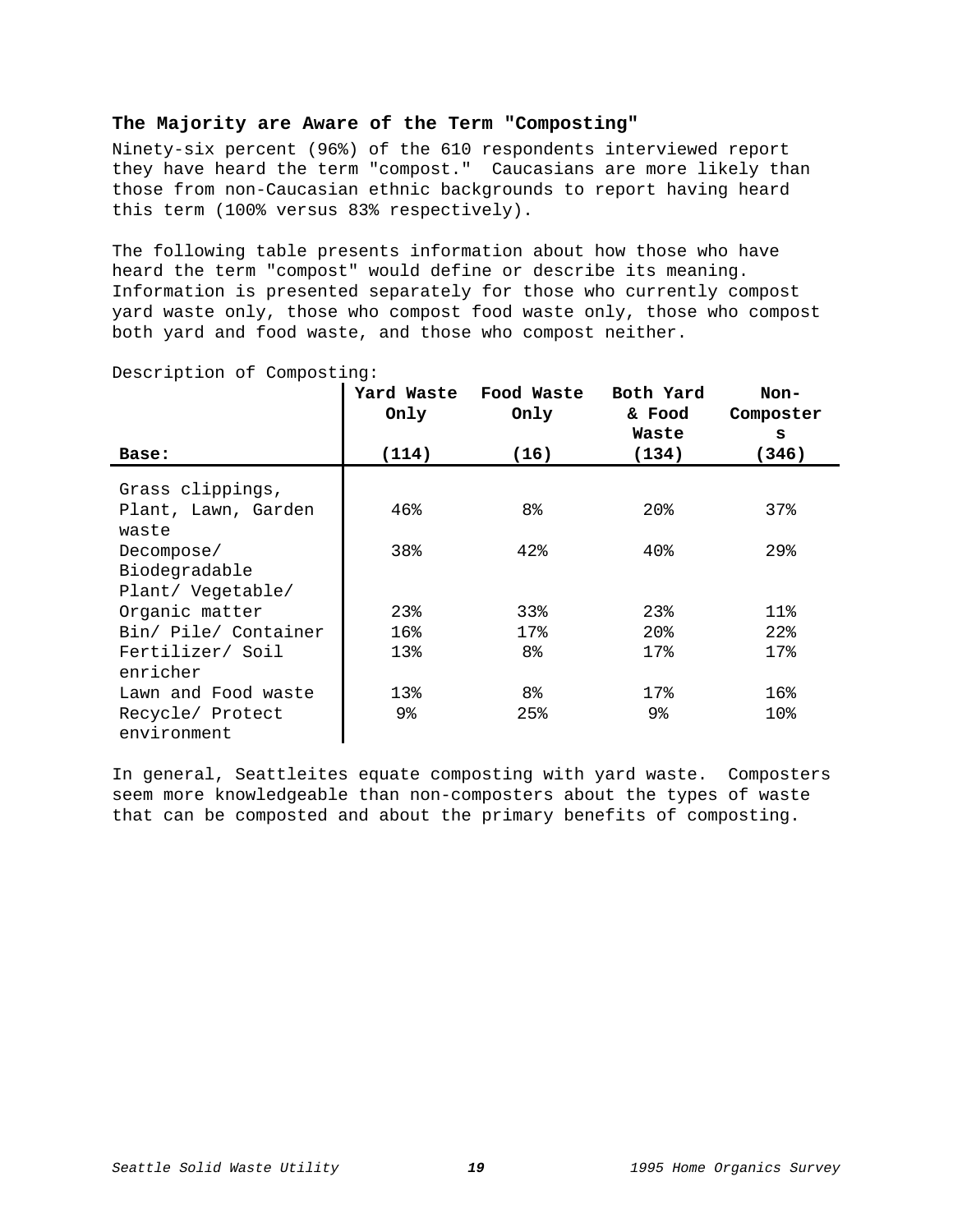#### **The Majority are Aware of the Term "Composting"**

Ninety-six percent (96%) of the 610 respondents interviewed report they have heard the term "compost." Caucasians are more likely than those from non-Caucasian ethnic backgrounds to report having heard this term (100% versus 83% respectively).

The following table presents information about how those who have heard the term "compost" would define or describe its meaning. Information is presented separately for those who currently compost yard waste only, those who compost food waste only, those who compost both yard and food waste, and those who compost neither.

|                      | Yard Waste<br>Only | Food Waste<br>Only | Both Yard<br>& Food | Non-<br>Composter |
|----------------------|--------------------|--------------------|---------------------|-------------------|
|                      |                    |                    | Waste               | S                 |
| Base:                | (114)              | (16)               | (134)               | (346)             |
| Grass clippings,     |                    |                    |                     |                   |
| Plant, Lawn, Garden  | 46%                | 8 <sup>8</sup>     | 20 <sub>8</sub>     | 37%               |
| waste                |                    |                    |                     |                   |
| Decompose/           | 38%                | 42%                | $40\%$              | 29%               |
| Biodegradable        |                    |                    |                     |                   |
| Plant/ Vegetable/    |                    |                    |                     |                   |
| Organic matter       | 23%                | 33%                | 23 <sub>8</sub>     | 11 <sub>8</sub>   |
| Bin/ Pile/ Container | 16%                | 17 <sub>8</sub>    | 20 <sub>8</sub>     | 22 <sub>8</sub>   |
| Fertilizer/ Soil     | 13%                | 8 <sup>8</sup>     | 17 <sub>8</sub>     | 17%               |
| enricher             |                    |                    |                     |                   |
| Lawn and Food waste  | 13%                | 8%                 | 17%                 | 16%               |
| Recycle/ Protect     | 9 <sub>8</sub>     | 25%                | 9 <sub>8</sub>      | 10%               |
| environment          |                    |                    |                     |                   |

Description of Composting:

In general, Seattleites equate composting with yard waste. Composters seem more knowledgeable than non-composters about the types of waste that can be composted and about the primary benefits of composting.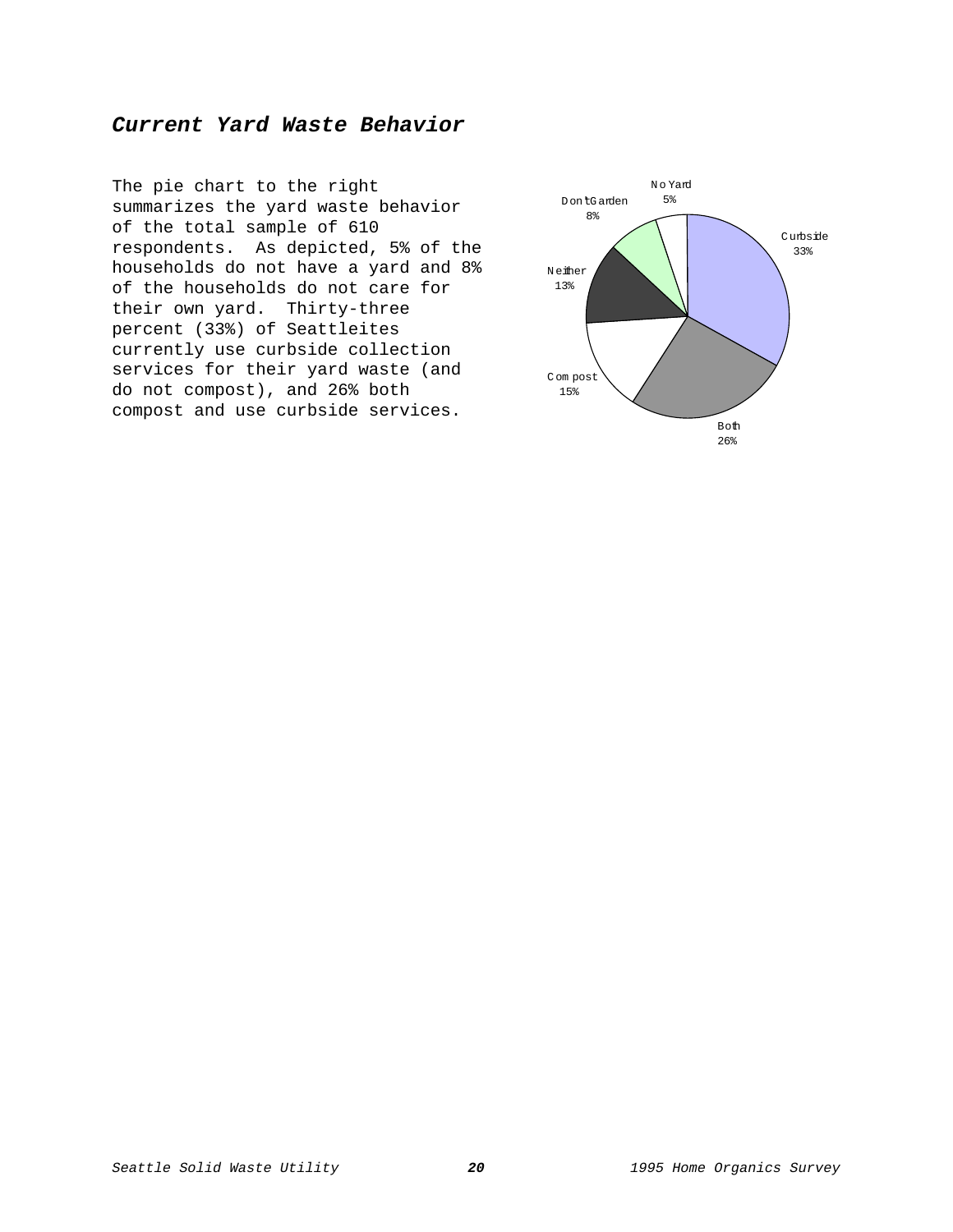# <span id="page-19-0"></span>**Current Yard Waste Behavior**

The pie chart to the right summarizes the yard waste behavior of the total sample of 610 respondents. As depicted, 5% of the households do not have a yard and 8% of the households do not care for their own yard. Thirty-three percent (33%) of Seattleites currently use curbside collection services for their yard waste (and do not compost), and 26% both compost and use curbside services.

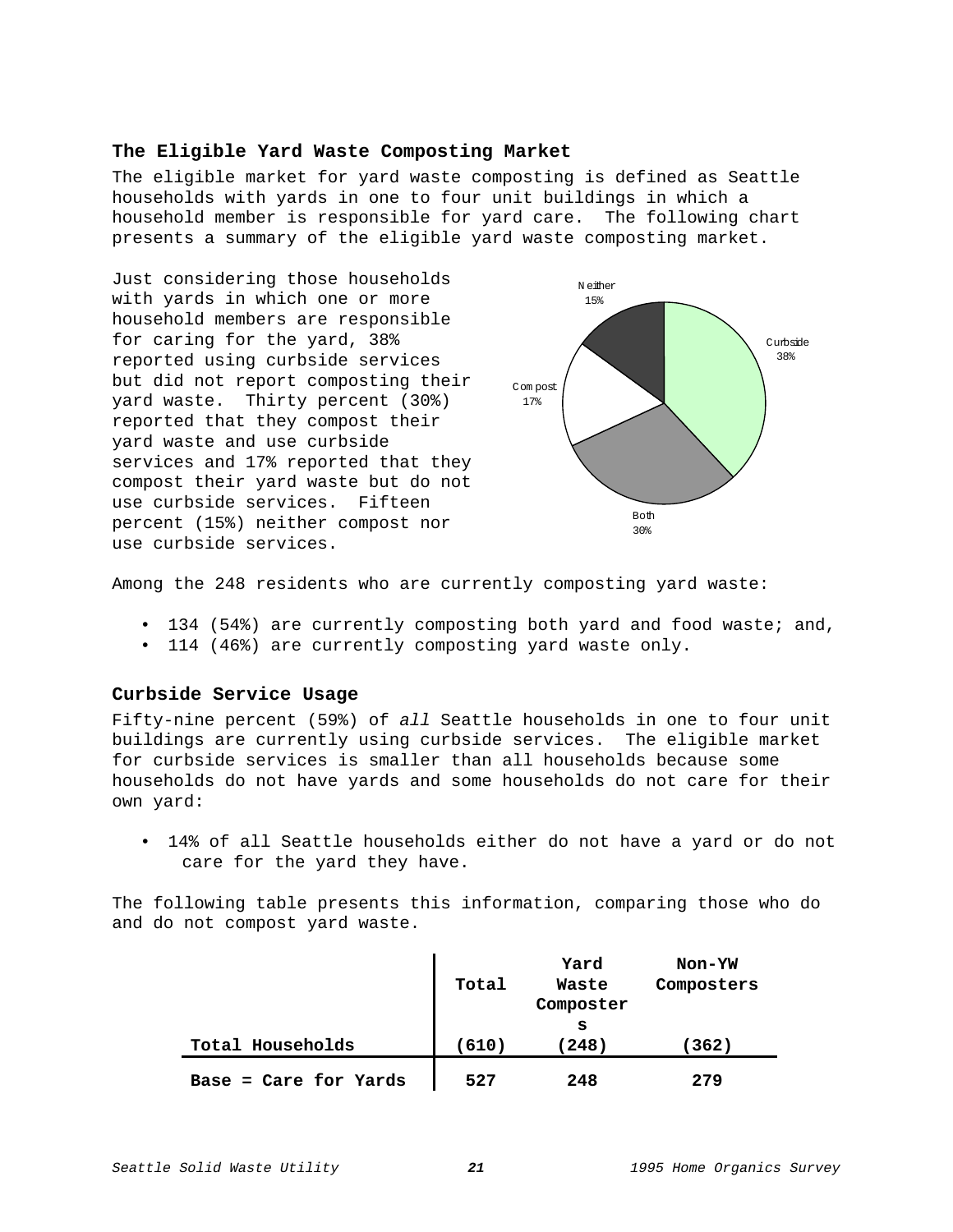#### **The Eligible Yard Waste Composting Market**

The eligible market for yard waste composting is defined as Seattle households with yards in one to four unit buildings in which a household member is responsible for yard care. The following chart presents a summary of the eligible yard waste composting market.

Just considering those households with yards in which one or more household members are responsible for caring for the yard, 38% reported using curbside services but did not report composting their yard waste. Thirty percent (30%) reported that they compost their yard waste and use curbside services and 17% reported that they compost their yard waste but do not use curbside services. Fifteen percent (15%) neither compost nor use curbside services.



Among the 248 residents who are currently composting yard waste:

- 134 (54%) are currently composting both yard and food waste; and,
- 114 (46%) are currently composting yard waste only.

#### **Curbside Service Usage**

Fifty-nine percent (59%) of all Seattle households in one to four unit buildings are currently using curbside services. The eligible market for curbside services is smaller than all households because some households do not have yards and some households do not care for their own yard:

• 14% of all Seattle households either do not have a yard or do not care for the yard they have.

The following table presents this information, comparing those who do and do not compost yard waste.

|                          | Total | Yard<br>Waste<br>Composter | <b>Non-YW</b><br>Composters |
|--------------------------|-------|----------------------------|-----------------------------|
| Total Households         | (610) | s<br>(248)                 | (362)                       |
| = Care for Yards<br>Base | 527   | 248                        | 279                         |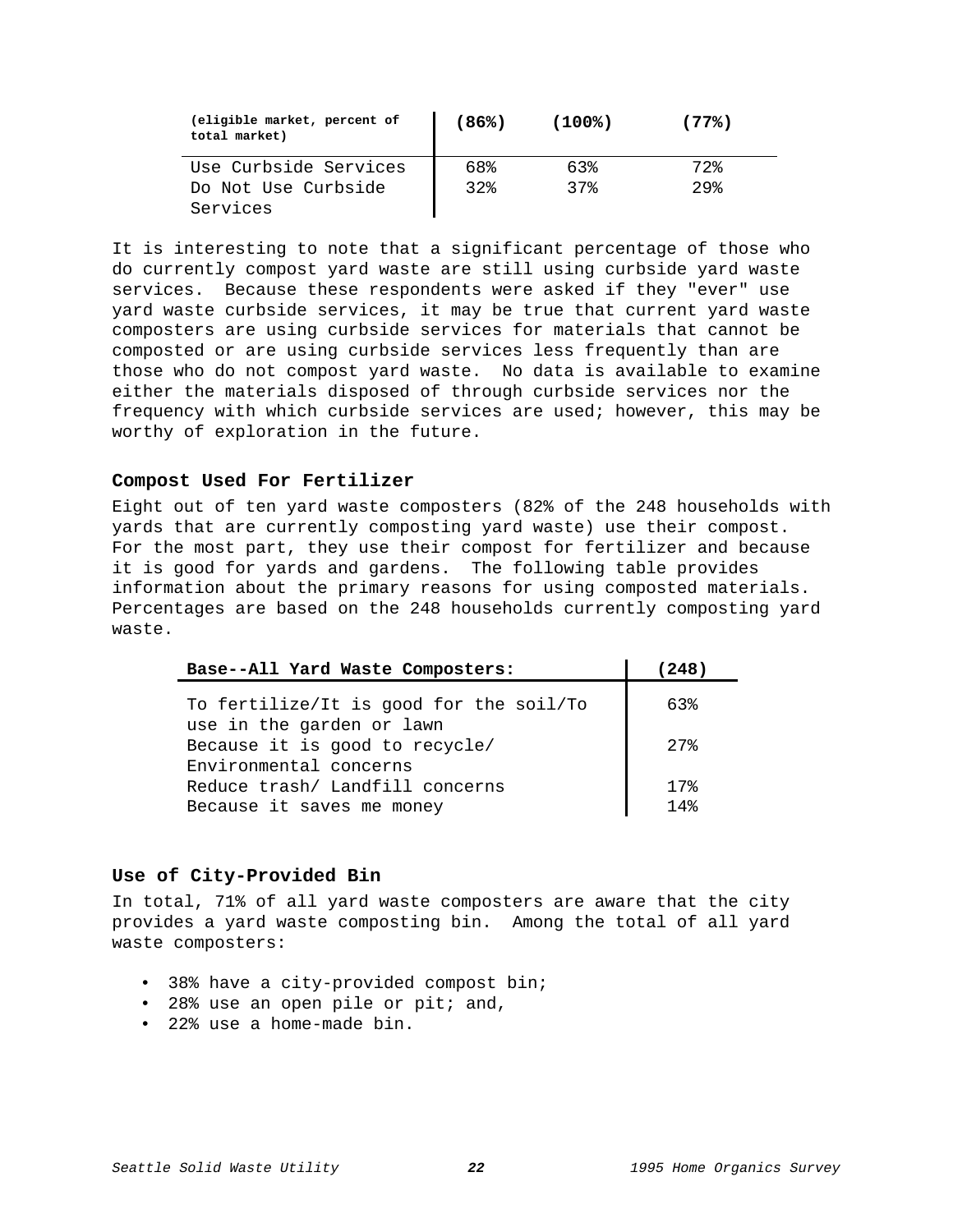| (eligible market, percent of<br>total market) | (86%) | $(100\%)$ | (77%)  |
|-----------------------------------------------|-------|-----------|--------|
| Use Curbside Services                         | 68%   | 63%       | 72%    |
| Do Not Use Curbside                           | 32%   | 37%       | $29$ . |
| Services                                      |       |           |        |

It is interesting to note that a significant percentage of those who do currently compost yard waste are still using curbside yard waste services. Because these respondents were asked if they "ever" use yard waste curbside services, it may be true that current yard waste composters are using curbside services for materials that cannot be composted or are using curbside services less frequently than are those who do not compost yard waste. No data is available to examine either the materials disposed of through curbside services nor the frequency with which curbside services are used; however, this may be worthy of exploration in the future.

#### **Compost Used For Fertilizer**

Eight out of ten yard waste composters (82% of the 248 households with yards that are currently composting yard waste) use their compost. For the most part, they use their compost for fertilizer and because it is good for yards and gardens. The following table provides information about the primary reasons for using composted materials. Percentages are based on the 248 households currently composting yard waste.

| Base--All Yard Waste Composters:                                     | (248)           |
|----------------------------------------------------------------------|-----------------|
| To fertilize/It is good for the soil/To<br>use in the garden or lawn | 63%             |
| Because it is good to recycle/                                       | 27              |
| Environmental concerns                                               |                 |
| Reduce trash/ Landfill concerns                                      | 17 <sub>8</sub> |
| Because it saves me money                                            | 14%             |

#### **Use of City-Provided Bin**

In total, 71% of all yard waste composters are aware that the city provides a yard waste composting bin. Among the total of all yard waste composters:

- 38% have a city-provided compost bin;
- 28% use an open pile or pit; and,
- 22% use a home-made bin.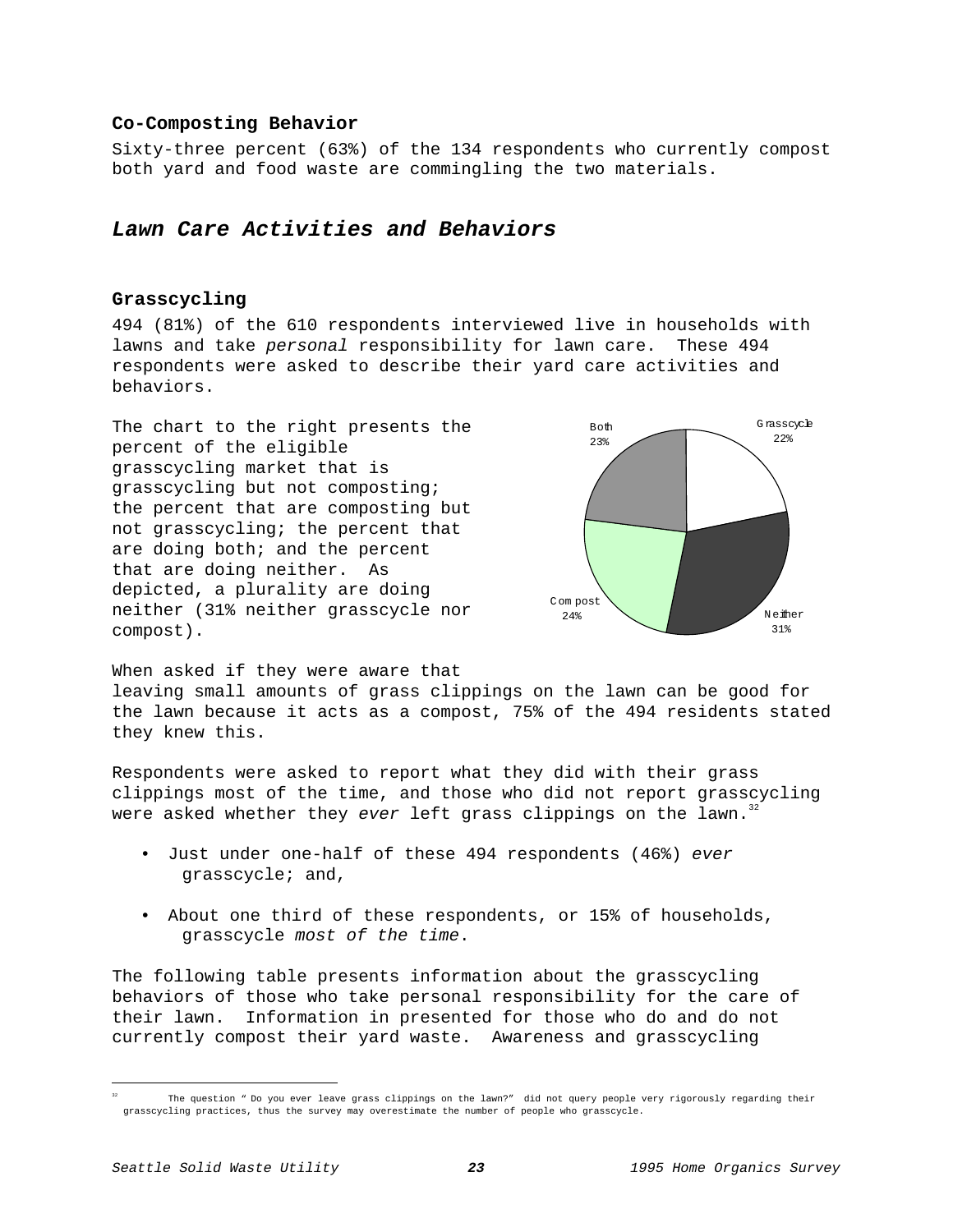#### <span id="page-22-0"></span>**Co-Composting Behavior**

Sixty-three percent (63%) of the 134 respondents who currently compost both yard and food waste are commingling the two materials.

# **Lawn Care Activities and Behaviors**

#### **Grasscycling**

494 (81%) of the 610 respondents interviewed live in households with lawns and take personal responsibility for lawn care. These 494 respondents were asked to describe their yard care activities and behaviors.

The chart to the right presents the percent of the eligible grasscycling market that is grasscycling but not composting; the percent that are composting but not grasscycling; the percent that are doing both; and the percent that are doing neither. As depicted, a plurality are doing neither (31% neither grasscycle nor compost).



When asked if they were aware that leaving small amounts of grass clippings on the lawn can be good for the lawn because it acts as a compost, 75% of the 494 residents stated they knew this.

Respondents were asked to report what they did with their grass clippings most of the time, and those who did not report grasscycling were asked whether they ever left grass clippings on the lawn. $32$ 

- Just under one-half of these 494 respondents (46%) ever grasscycle; and,
- About one third of these respondents, or 15% of households, grasscycle most of the time.

The following table presents information about the grasscycling behaviors of those who take personal responsibility for the care of their lawn. Information in presented for those who do and do not currently compost their yard waste. Awareness and grasscycling

The question " Do you ever leave grass clippings on the lawn?" did not query people very rigorously regarding their grasscycling practices, thus the survey may overestimate the number of people who grasscycle.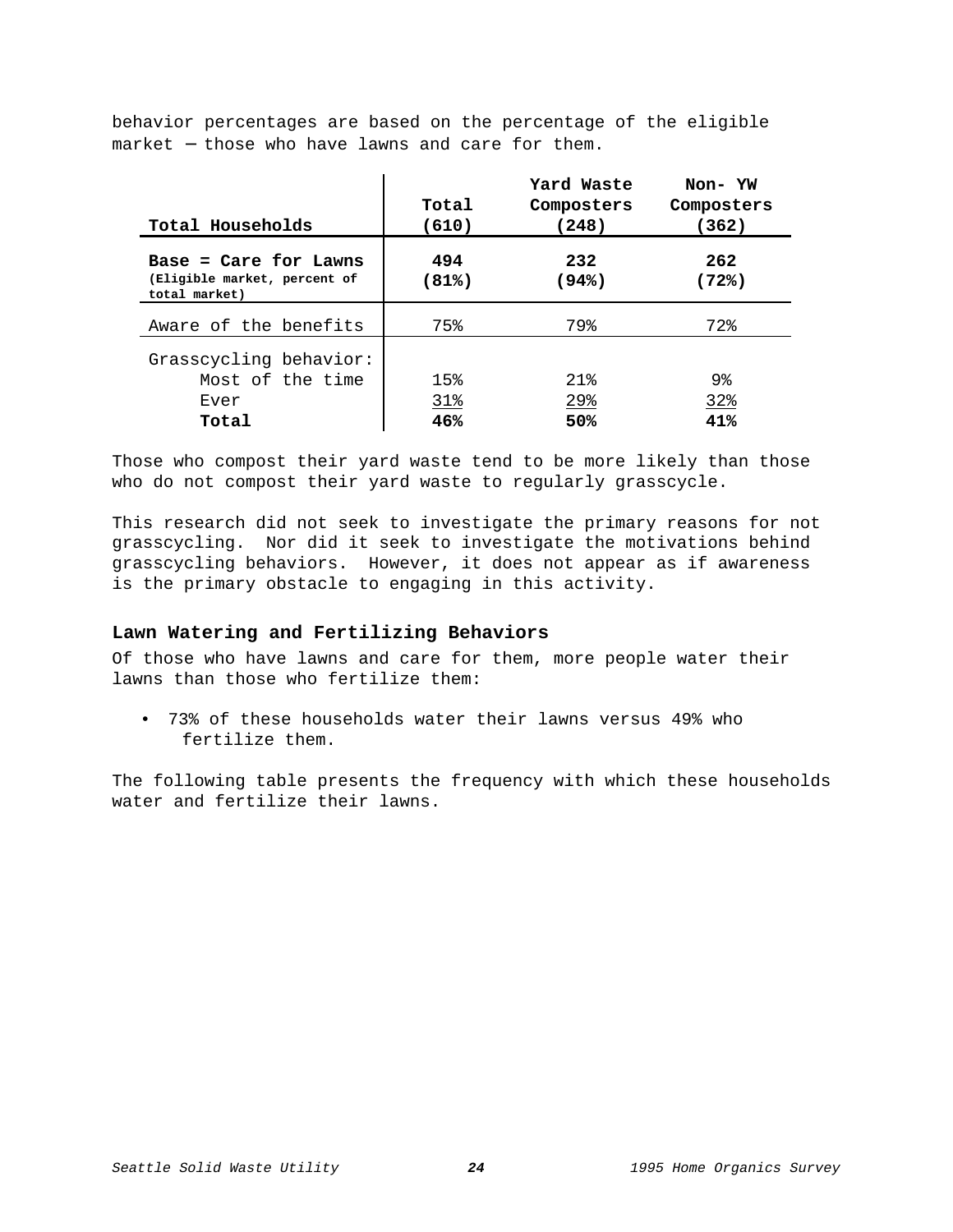|                                                                        |                 | Yard Waste      | Non-YW       |
|------------------------------------------------------------------------|-----------------|-----------------|--------------|
|                                                                        | Total           | Composters      | Composters   |
| Total Households                                                       | (610)           | (248)           | (362)        |
| Base = Care for Lawns<br>(Eligible market, percent of<br>total market) | 494<br>$(81\%)$ | 232<br>$(94\%)$ | 262<br>(72%) |
| Aware of the benefits                                                  | 75%             | 79%             | 72.8         |
| Grasscycling behavior:<br>Most of the time                             | 15%             | 21%             | 9%           |
| Ever                                                                   | 31%             | 29%             | 32%          |
| Total                                                                  | 46%             | 50%             | 41%          |

behavior percentages are based on the percentage of the eligible market − those who have lawns and care for them.

Those who compost their yard waste tend to be more likely than those who do not compost their yard waste to regularly grasscycle.

This research did not seek to investigate the primary reasons for not grasscycling. Nor did it seek to investigate the motivations behind grasscycling behaviors. However, it does not appear as if awareness is the primary obstacle to engaging in this activity.

### **Lawn Watering and Fertilizing Behaviors**

Of those who have lawns and care for them, more people water their lawns than those who fertilize them:

• 73% of these households water their lawns versus 49% who fertilize them.

The following table presents the frequency with which these households water and fertilize their lawns.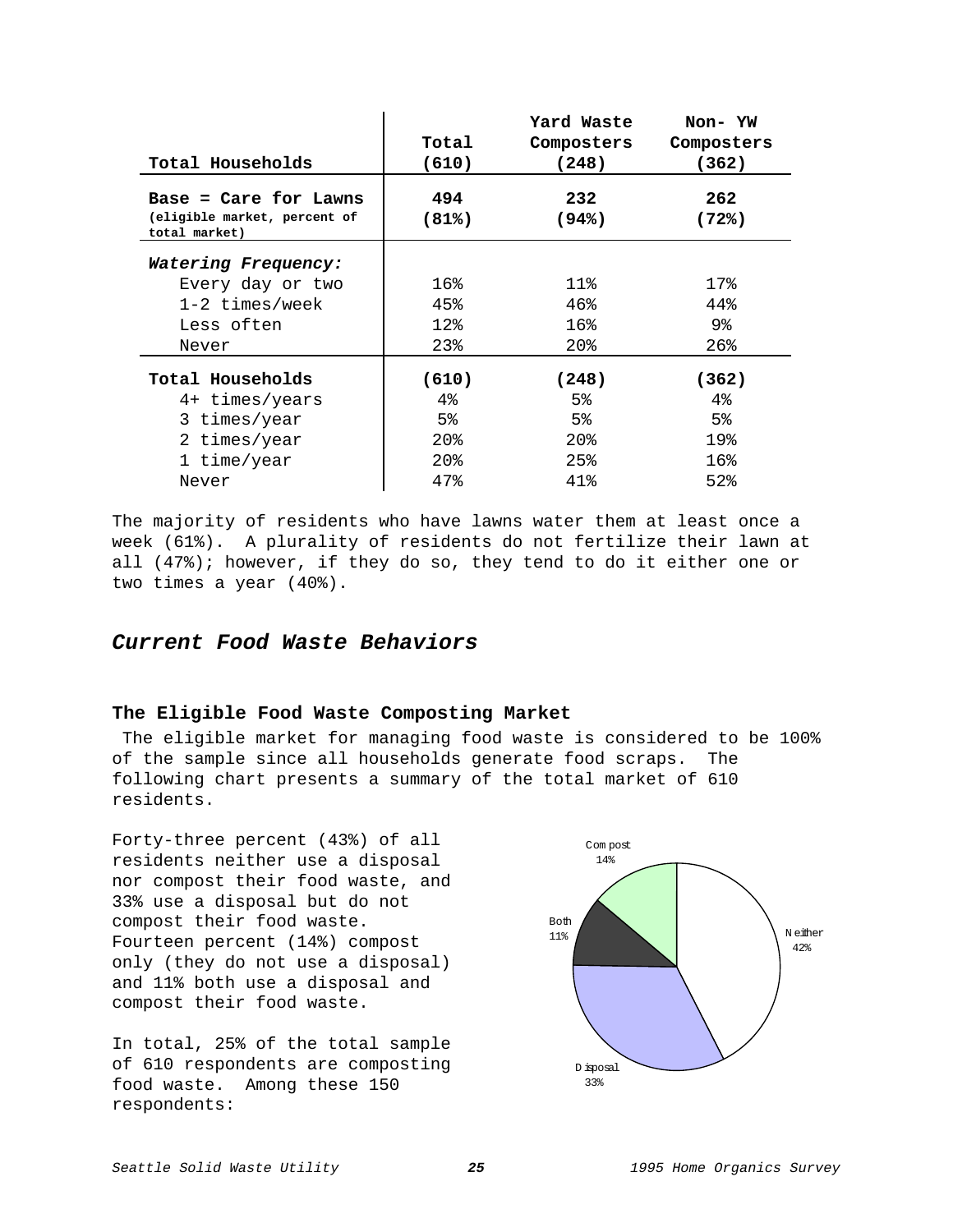<span id="page-24-0"></span>

|                              |                 | Yard Waste      | Non-YW            |
|------------------------------|-----------------|-----------------|-------------------|
|                              | Total           | Composters      | Composters        |
| Total Households             | (610)           | (248)           | (362)             |
| Base = Care for Lawns        | 494             | 232             | 262               |
| (eligible market, percent of |                 |                 |                   |
| total market)                | (81%)           | $(94\%)$        | (72%)             |
|                              |                 |                 |                   |
| Watering Frequency:          |                 |                 |                   |
| Every day or two             | 16%             | 11%             | 17 <sub>8</sub>   |
| $1-2$ times/week             | 45%             | 46%             | 44%               |
| Less often                   | 12%             | 16 <sup>8</sup> | 9 <sub>8</sub>    |
| Never                        | 23 <sub>8</sub> | 20 <sub>8</sub> | $26$ $\,^{\circ}$ |
|                              |                 |                 |                   |
| Total Households             | (610)           | (248)           | (362)             |
| 4+ times/years               | $4\,$           | $5\%$           | $4\%$             |
| 3 times/year                 | 5 <sup>°</sup>  | 5 <sup>8</sup>  | 5 <sup>8</sup>    |
| 2 times/year                 | 20 <sub>8</sub> | 20 <sub>8</sub> | 19%               |
| 1 time/year                  | 20 <sub>8</sub> | 25%             | 16 <sup>8</sup>   |
| Never                        | 47%             | 41%             | 52%               |

The majority of residents who have lawns water them at least once a week (61%). A plurality of residents do not fertilize their lawn at all (47%); however, if they do so, they tend to do it either one or two times a year (40%).

### **Current Food Waste Behaviors**

#### **The Eligible Food Waste Composting Market**

 The eligible market for managing food waste is considered to be 100% of the sample since all households generate food scraps. The following chart presents a summary of the total market of 610 residents.

Forty-three percent (43%) of all residents neither use a disposal nor compost their food waste, and 33% use a disposal but do not compost their food waste. Fourteen percent (14%) compost only (they do not use a disposal) and 11% both use a disposal and compost their food waste.

In total, 25% of the total sample of 610 respondents are composting food waste. Among these 150 respondents:

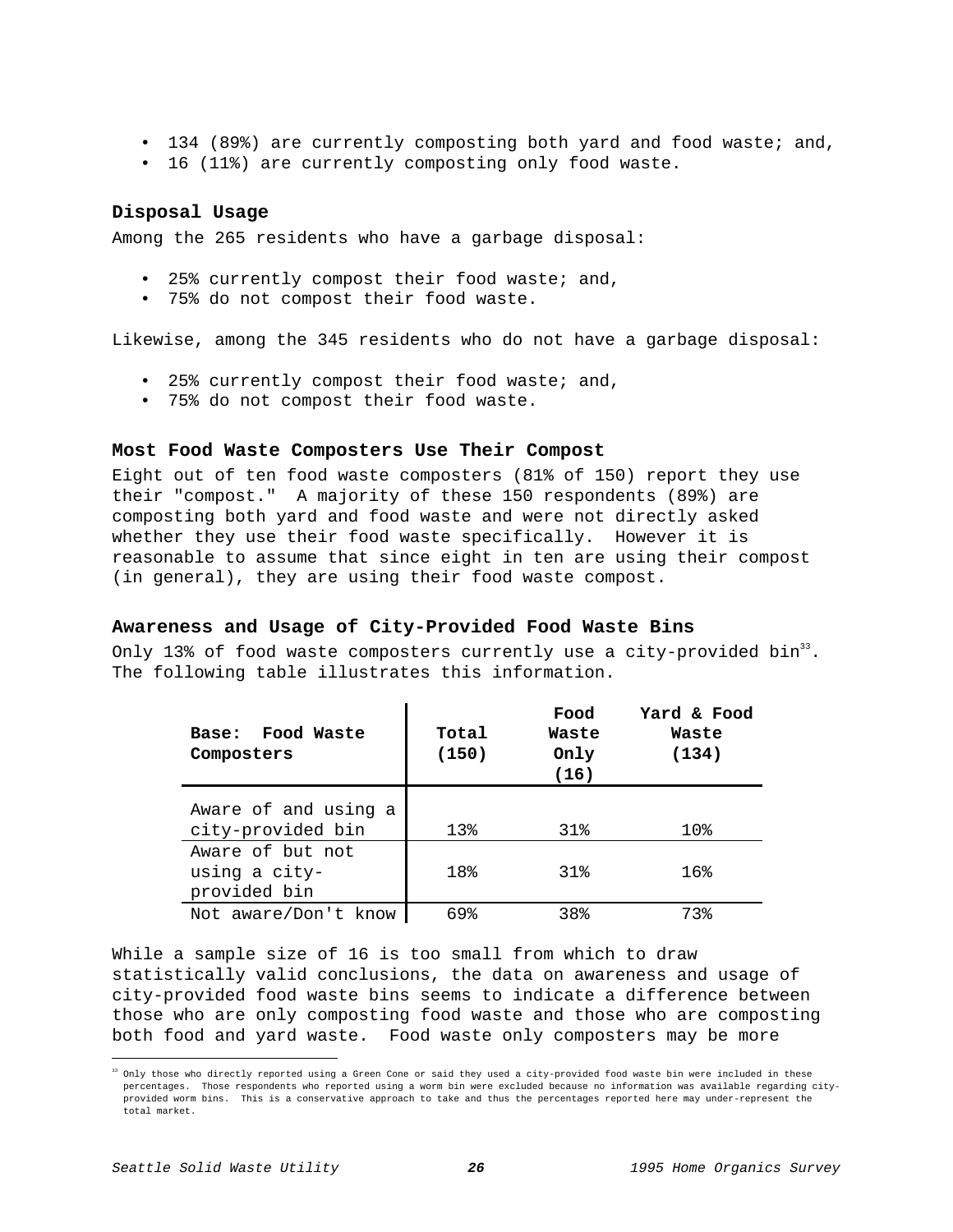- 134 (89%) are currently composting both yard and food waste; and,
- 16 (11%) are currently composting only food waste.

#### **Disposal Usage**

Among the 265 residents who have a garbage disposal:

- 25% currently compost their food waste; and,
- 75% do not compost their food waste.

Likewise, among the 345 residents who do not have a garbage disposal:

- 25% currently compost their food waste; and,
- 75% do not compost their food waste.

#### **Most Food Waste Composters Use Their Compost**

Eight out of ten food waste composters (81% of 150) report they use their "compost." A majority of these 150 respondents (89%) are composting both yard and food waste and were not directly asked whether they use their food waste specifically. However it is reasonable to assume that since eight in ten are using their compost (in general), they are using their food waste compost.

#### **Awareness and Usage of City-Provided Food Waste Bins**

Only 13% of food waste composters currently use a city-provided  $bin^{33}$ . The following table illustrates this information.

| Food Waste<br>Base:<br>Composters | Total<br>(150) | Food<br>Waste<br>Only<br>(16) | Yard & Food<br>Waste<br>(134) |
|-----------------------------------|----------------|-------------------------------|-------------------------------|
|                                   |                |                               |                               |
| Aware of and using a              |                |                               |                               |
| city-provided bin                 | 13%            | 31%                           | 10 <sub>8</sub>               |
| Aware of but not                  |                |                               |                               |
| using a city-                     | 18%            | 31%                           | 16 <sup>8</sup>               |
| provided bin                      |                |                               |                               |
| Not aware/Don't know              | 69%            | 38%                           | 73%                           |

While a sample size of 16 is too small from which to draw statistically valid conclusions, the data on awareness and usage of city-provided food waste bins seems to indicate a difference between those who are only composting food waste and those who are composting both food and yard waste. Food waste only composters may be more

<sup>33</sup> Only those who directly reported using a Green Cone or said they used a city-provided food waste bin were included in these percentages. Those respondents who reported using a worm bin were excluded because no information was available regarding cityprovided worm bins. This is a conservative approach to take and thus the percentages reported here may under-represent the total market.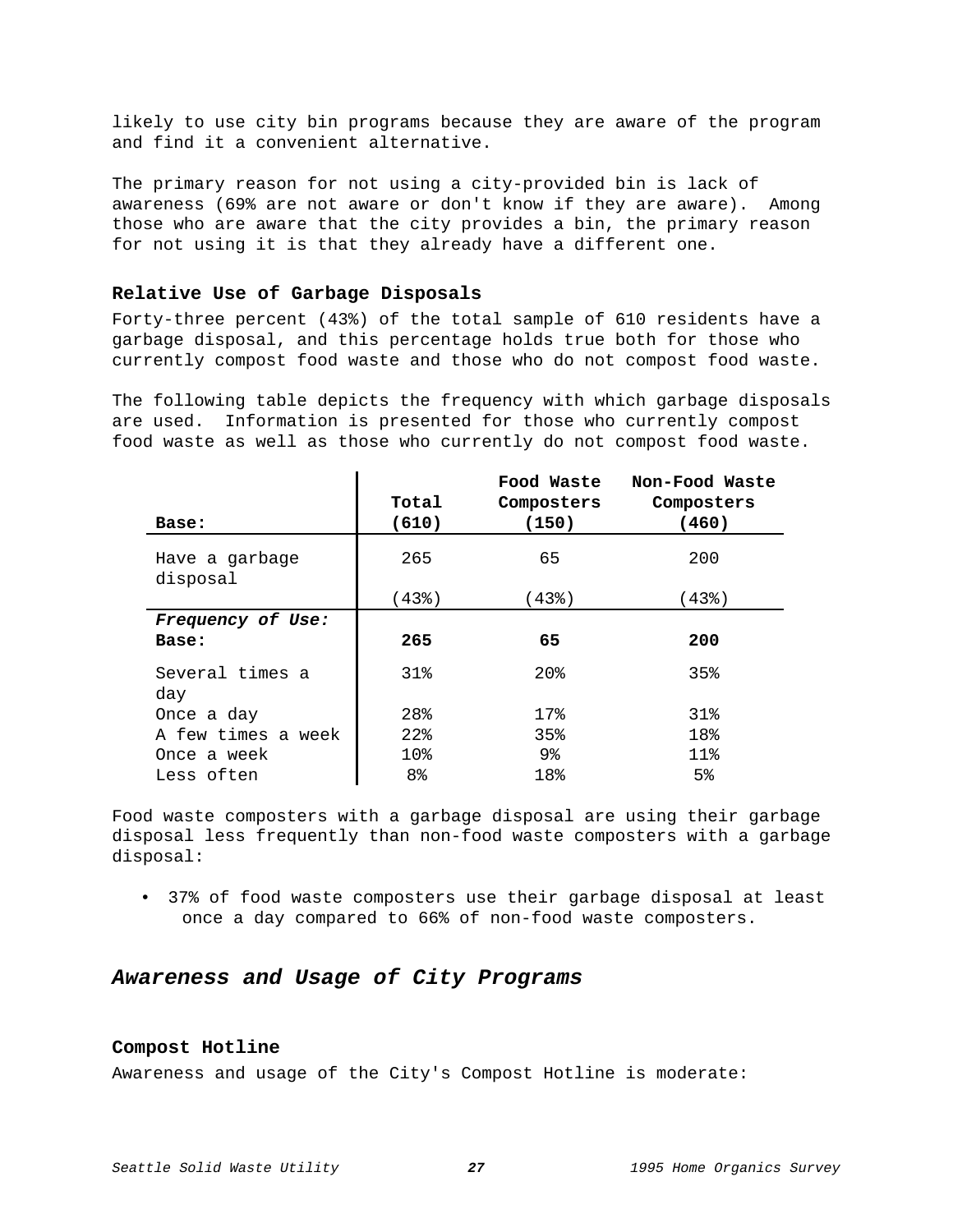<span id="page-26-0"></span>likely to use city bin programs because they are aware of the program and find it a convenient alternative.

The primary reason for not using a city-provided bin is lack of awareness (69% are not aware or don't know if they are aware). Among those who are aware that the city provides a bin, the primary reason for not using it is that they already have a different one.

#### **Relative Use of Garbage Disposals**

Forty-three percent (43%) of the total sample of 610 residents have a garbage disposal, and this percentage holds true both for those who currently compost food waste and those who do not compost food waste.

The following table depicts the frequency with which garbage disposals are used. Information is presented for those who currently compost food waste as well as those who currently do not compost food waste.

|                            | Total           | Food Waste<br>Composters | Non-Food Waste<br>Composters |
|----------------------------|-----------------|--------------------------|------------------------------|
| Base:                      | (610)           | (150)                    | (460)                        |
| Have a garbage<br>disposal | 265             | 65                       | 200                          |
|                            | (438)           | (438)                    | $(43$ $)$                    |
| Frequency of Use:          |                 |                          |                              |
| Base:                      | 265             | 65                       | 200                          |
| Several times a<br>day     | 31%             | 20 <sub>8</sub>          | 35%                          |
| Once a day                 | 28%             | 17.8                     | 31%                          |
| A few times a week         | 22 <sub>8</sub> | 35%                      | 18%                          |
| Once a week                | 10 <sub>8</sub> | 9%                       | 11%                          |
| Less often                 | 8 <sup>°</sup>  | 18%                      | 5 <sup>8</sup>               |

Food waste composters with a garbage disposal are using their garbage disposal less frequently than non-food waste composters with a garbage disposal:

• 37% of food waste composters use their garbage disposal at least once a day compared to 66% of non-food waste composters.

#### **Awareness and Usage of City Programs**

#### **Compost Hotline**

Awareness and usage of the City's Compost Hotline is moderate: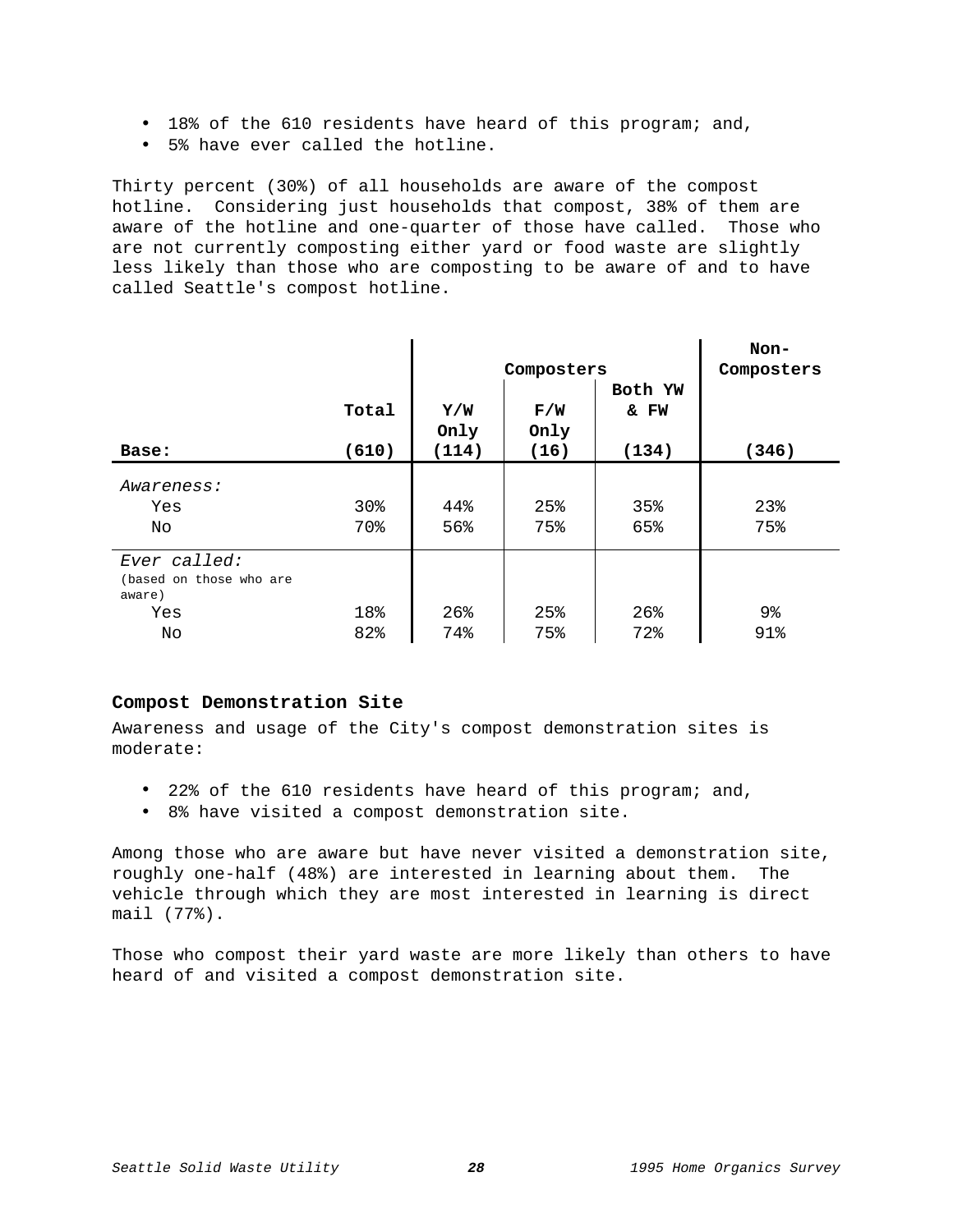- 18% of the 610 residents have heard of this program; and,
- 5% have ever called the hotline.

Thirty percent (30%) of all households are aware of the compost hotline. Considering just households that compost, 38% of them are aware of the hotline and one-quarter of those have called. Those who are not currently composting either yard or food waste are slightly less likely than those who are composting to be aware of and to have called Seattle's compost hotline.

|                                                   |                        | Composters  |             |                 | Non-<br>Composters |
|---------------------------------------------------|------------------------|-------------|-------------|-----------------|--------------------|
|                                                   | Total                  | Y/W<br>Only | F/W<br>Only | Both YW<br>& FW |                    |
| Base:                                             | (610)                  | (114)       | (16)        | (134)           | (346)              |
| Awareness:<br>Yes<br>No                           | 30 <sub>8</sub><br>70% | 44%<br>56%  | 25%<br>75%  | 35%<br>65%      | 23%<br>75%         |
| Ever called:<br>(based on those who are<br>aware) |                        |             |             |                 |                    |
| Yes                                               | 18%                    | $26$ $%$    | 25%         | 26%             | 9%                 |
| No                                                | 82%                    | 74%         | 75%         | 72%             | 91%                |

#### **Compost Demonstration Site**

Awareness and usage of the City's compost demonstration sites is moderate:

- 22% of the 610 residents have heard of this program; and,
- 8% have visited a compost demonstration site.

Among those who are aware but have never visited a demonstration site, roughly one-half (48%) are interested in learning about them. The vehicle through which they are most interested in learning is direct mail (77%).

Those who compost their yard waste are more likely than others to have heard of and visited a compost demonstration site.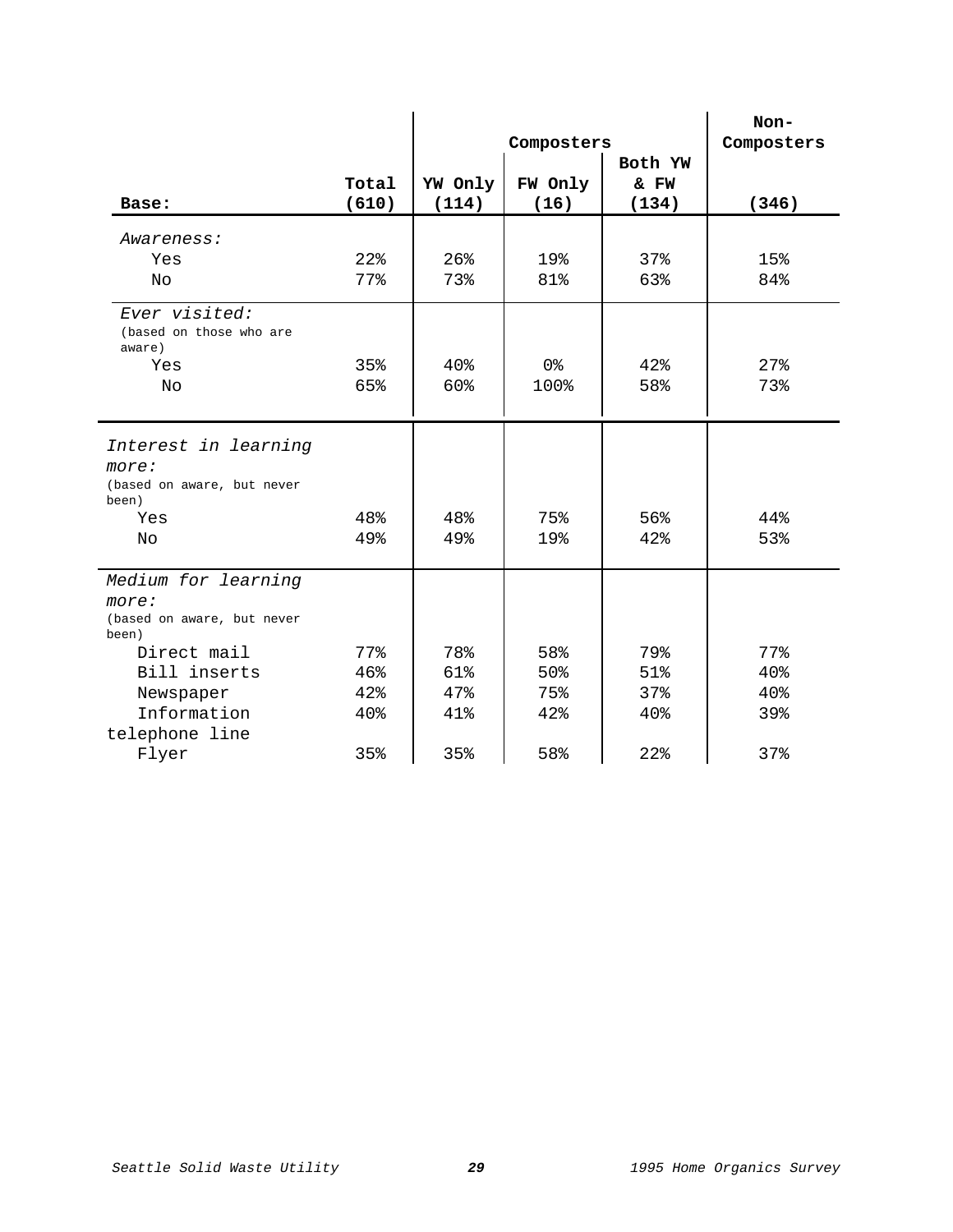|                                                    |       |                 |                |         | Non-       |
|----------------------------------------------------|-------|-----------------|----------------|---------|------------|
|                                                    |       |                 | Composters     | Both YW | Composters |
|                                                    | Total | YW Only         | FW Only        | & FW    |            |
| Base:                                              | (610) | (114)           | (16)           | (134)   | (346)      |
|                                                    |       |                 |                |         |            |
| <i>Awareness:</i>                                  |       |                 |                |         |            |
| Yes                                                | 22%   | 26%             | 19%            | 37%     | 15%        |
| No                                                 | 77%   | 73%             | 81%            | 63%     | 84%        |
| Ever visited:<br>(based on those who are<br>aware) |       |                 |                |         |            |
| Yes                                                | 35%   | 40 <sub>8</sub> | 0 <sup>°</sup> | 42%     | 27%        |
| No                                                 | 65%   | 60%             | 100%           | 58%     | 73%        |
|                                                    |       |                 |                |         |            |
| Interest in learning                               |       |                 |                |         |            |
| more:                                              |       |                 |                |         |            |
| (based on aware, but never<br>been)                |       |                 |                |         |            |
| Yes                                                | 48%   | 48%             | 75%            | 56%     | 44%        |
| No                                                 | 49%   | 49%             | 19%            | 42%     | 53%        |
|                                                    |       |                 |                |         |            |
| Medium for learning                                |       |                 |                |         |            |
| more:                                              |       |                 |                |         |            |
| (based on aware, but never                         |       |                 |                |         |            |
| been)                                              |       |                 |                |         |            |
| Direct mail                                        | 77%   | 78%             | 58%            | 79%     | 77%        |
| Bill inserts                                       | 46%   | 61%             | 50%            | 51%     | 40%        |
| Newspaper                                          | 42%   | 47%             | 75%            | 37%     | 40%        |
| Information                                        | 40%   | 41%             | 42%            | 40%     | 39%        |
| telephone line                                     |       |                 |                |         |            |
| Flyer                                              | 35%   | 35%             | 58%            | 22%     | 37%        |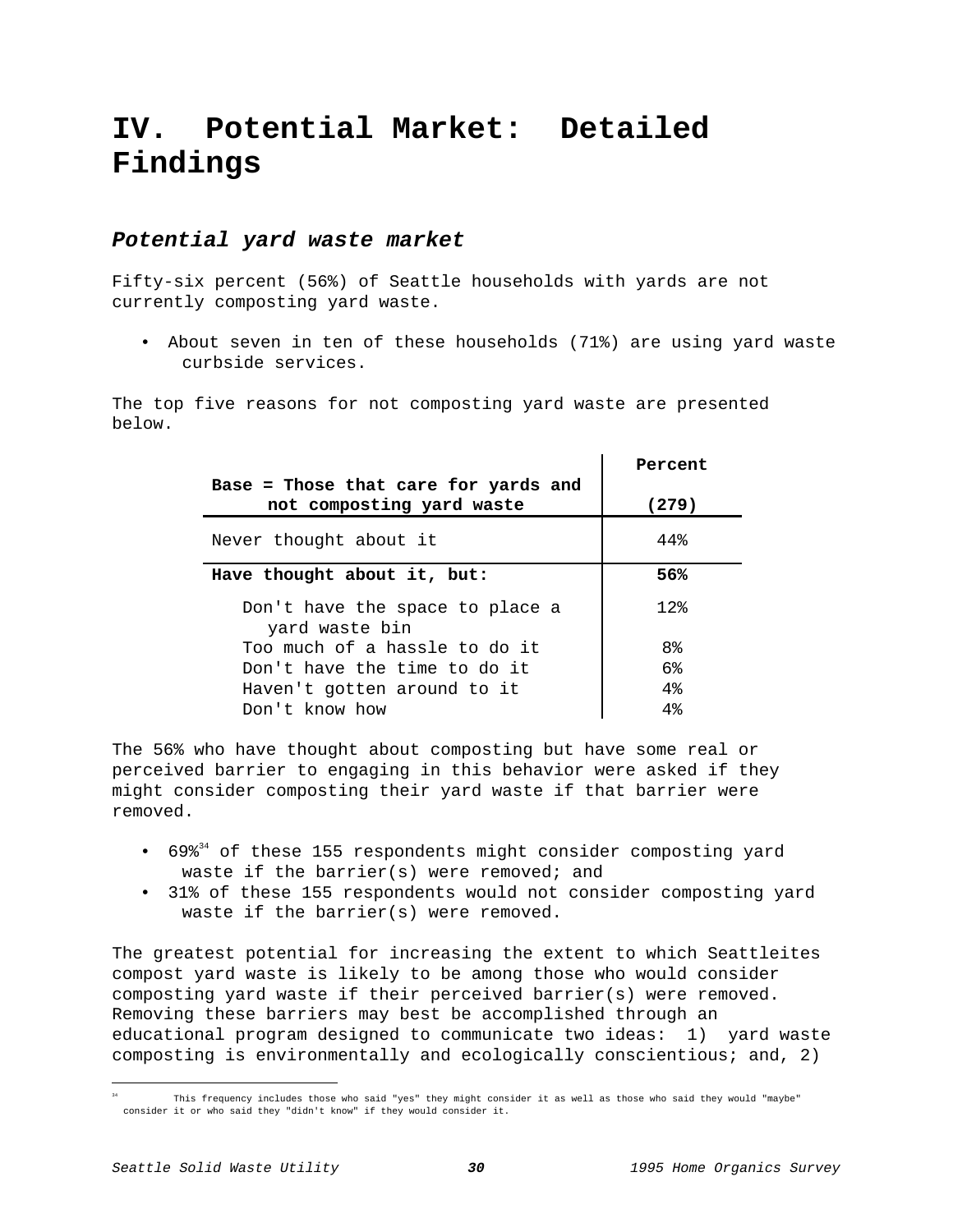# <span id="page-29-0"></span>**IV. Potential Market: Detailed Findings**

### **Potential yard waste market**

Fifty-six percent (56%) of Seattle households with yards are not currently composting yard waste.

• About seven in ten of these households (71%) are using yard waste curbside services.

The top five reasons for not composting yard waste are presented below.

|                                                                   | Percent        |
|-------------------------------------------------------------------|----------------|
| Base = Those that care for yards and<br>not composting yard waste | (279)          |
| Never thought about it                                            | 44%            |
| Have thought about it, but:                                       | 56%            |
| Don't have the space to place a<br>yard waste bin                 | 12.8           |
| Too much of a hassle to do it                                     | 8 <sup>°</sup> |
| Don't have the time to do it                                      | 6%             |
| Haven't gotten around to it                                       | 4%             |
| Don't know how                                                    | 4%             |

The 56% who have thought about composting but have some real or perceived barrier to engaging in this behavior were asked if they might consider composting their yard waste if that barrier were removed.

- 69%<sup>34</sup> of these 155 respondents might consider composting yard waste if the barrier(s) were removed; and
- 31% of these 155 respondents would not consider composting yard waste if the barrier(s) were removed.

The greatest potential for increasing the extent to which Seattleites compost yard waste is likely to be among those who would consider composting yard waste if their perceived barrier(s) were removed. Removing these barriers may best be accomplished through an educational program designed to communicate two ideas: 1) yard waste composting is environmentally and ecologically conscientious; and, 2)

This frequency includes those who said "yes" they might consider it as well as those who said they would "maybe" consider it or who said they "didn't know" if they would consider it.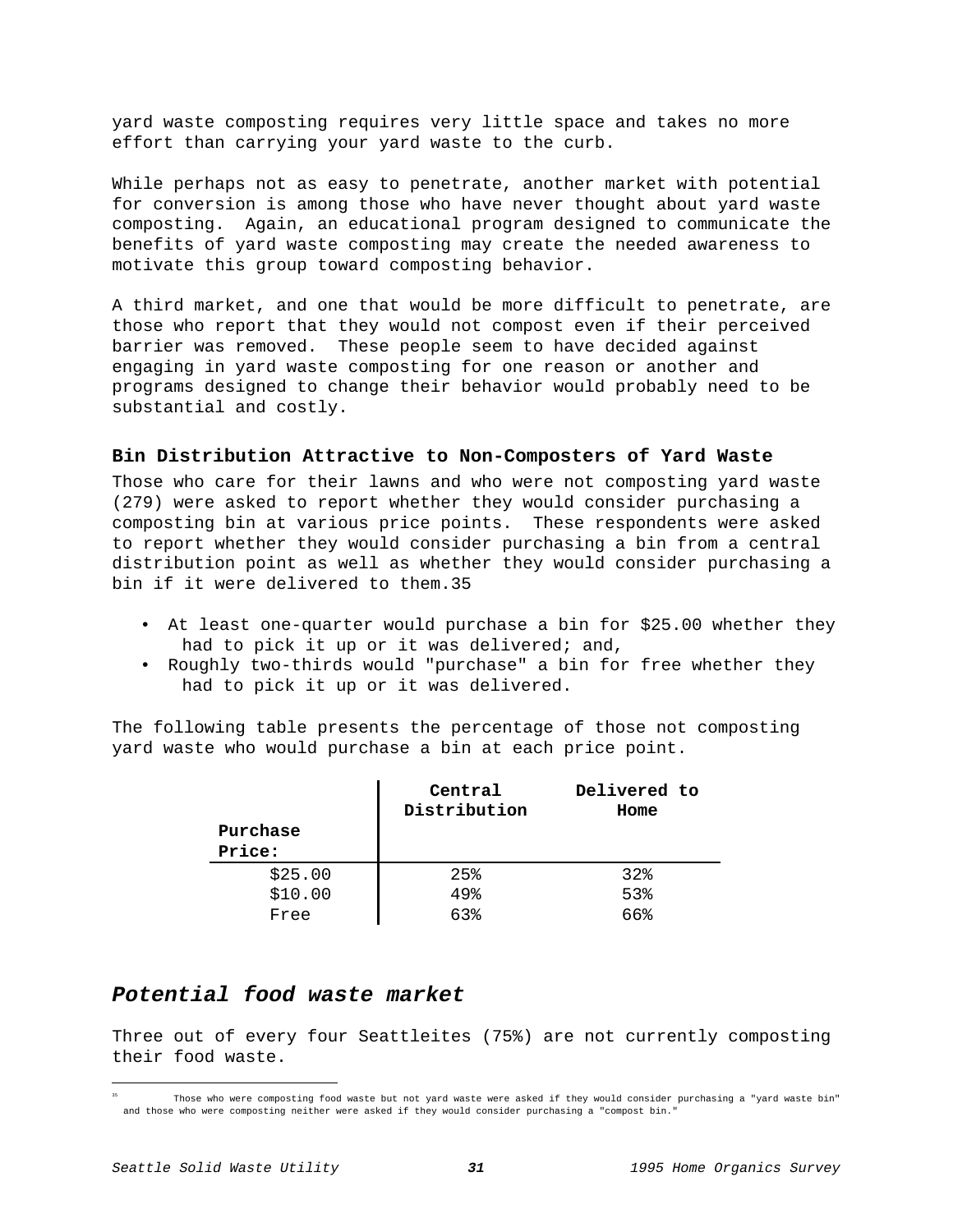<span id="page-30-0"></span>yard waste composting requires very little space and takes no more effort than carrying your yard waste to the curb.

While perhaps not as easy to penetrate, another market with potential for conversion is among those who have never thought about yard waste composting. Again, an educational program designed to communicate the benefits of yard waste composting may create the needed awareness to motivate this group toward composting behavior.

A third market, and one that would be more difficult to penetrate, are those who report that they would not compost even if their perceived barrier was removed. These people seem to have decided against engaging in yard waste composting for one reason or another and programs designed to change their behavior would probably need to be substantial and costly.

#### **Bin Distribution Attractive to Non-Composters of Yard Waste**

Those who care for their lawns and who were not composting yard waste (279) were asked to report whether they would consider purchasing a composting bin at various price points. These respondents were asked to report whether they would consider purchasing a bin from a central distribution point as well as whether they would consider purchasing a bin if it were delivered to them.35

- At least one-quarter would purchase a bin for \$25.00 whether they had to pick it up or it was delivered; and,
- Roughly two-thirds would "purchase" a bin for free whether they had to pick it up or it was delivered.

The following table presents the percentage of those not composting yard waste who would purchase a bin at each price point.

| Purchase<br>Price: | Central<br>Distribution | Delivered to<br>Home |
|--------------------|-------------------------|----------------------|
| \$25.00            | 25%                     | 32%                  |
| \$10.00            | 49%                     | 53%                  |
| Free               | 63%                     | 66%                  |

# **Potential food waste market**

Three out of every four Seattleites (75%) are not currently composting their food waste.

Those who were composting food waste but not yard waste were asked if they would consider purchasing a "yard waste bin" and those who were composting neither were asked if they would consider purchasing a "compost bin."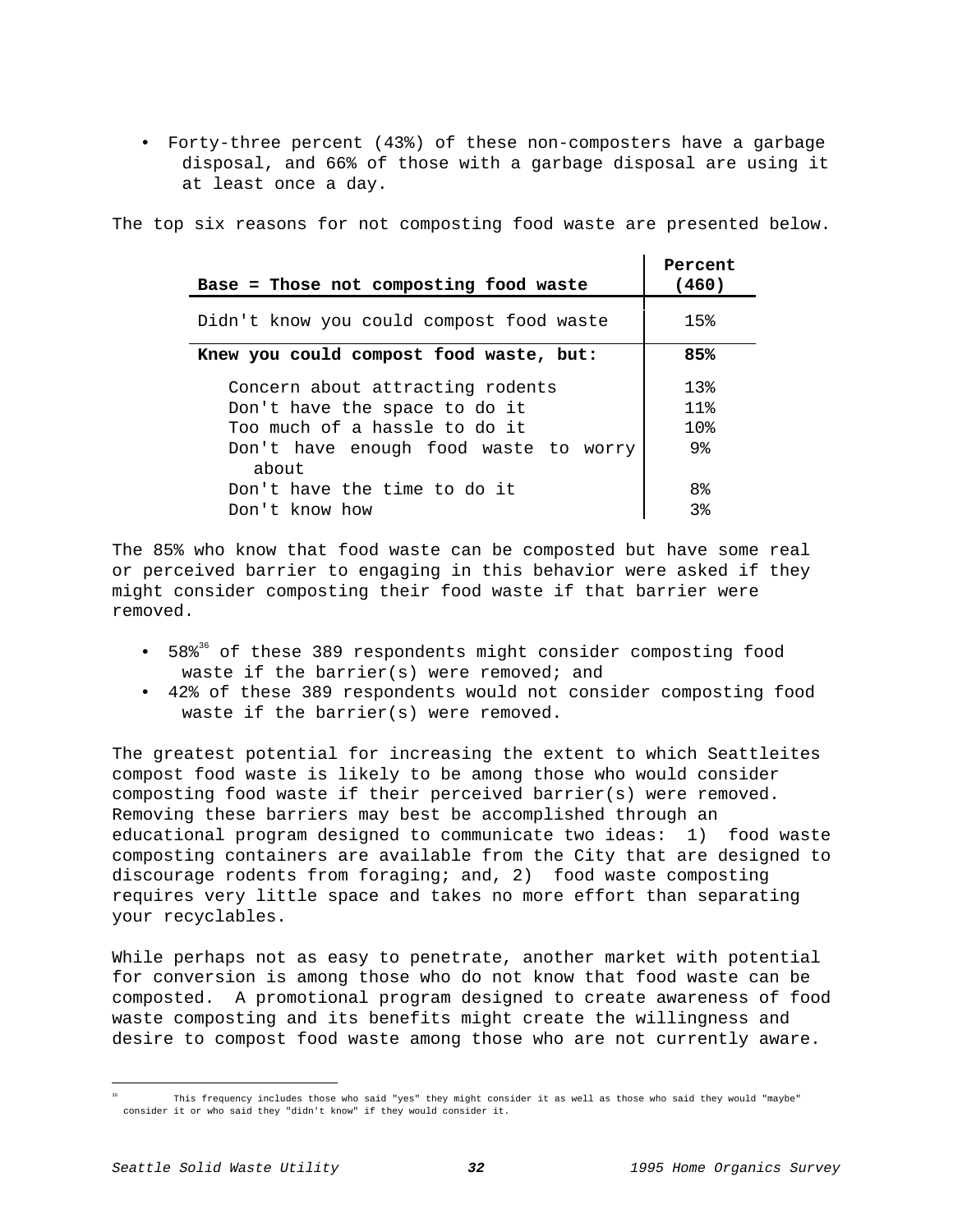• Forty-three percent (43%) of these non-composters have a garbage disposal, and 66% of those with a garbage disposal are using it at least once a day.

| Base = Those not composting food waste                                                             | Percent<br>(460)                              |
|----------------------------------------------------------------------------------------------------|-----------------------------------------------|
| Didn't know you could compost food waste                                                           | 15%                                           |
| Knew you could compost food waste, but:                                                            | 85%                                           |
| Concern about attracting rodents<br>Don't have the space to do it<br>Too much of a hassle to do it | $13$ <sup>2</sup><br>11 <sub>8</sub><br>1 በ የ |
| Don't have enough food waste to worry<br>about                                                     | 9%                                            |
| Don't have the time to do it<br>Don't know how                                                     | 8 <sup>°</sup><br>38                          |

The top six reasons for not composting food waste are presented below.

The 85% who know that food waste can be composted but have some real or perceived barrier to engaging in this behavior were asked if they might consider composting their food waste if that barrier were removed.

- 58%<sup>36</sup> of these 389 respondents might consider composting food waste if the barrier(s) were removed; and
- 42% of these 389 respondents would not consider composting food waste if the barrier(s) were removed.

The greatest potential for increasing the extent to which Seattleites compost food waste is likely to be among those who would consider composting food waste if their perceived barrier(s) were removed. Removing these barriers may best be accomplished through an educational program designed to communicate two ideas: 1) food waste composting containers are available from the City that are designed to discourage rodents from foraging; and, 2) food waste composting requires very little space and takes no more effort than separating your recyclables.

While perhaps not as easy to penetrate, another market with potential for conversion is among those who do not know that food waste can be composted. A promotional program designed to create awareness of food waste composting and its benefits might create the willingness and desire to compost food waste among those who are not currently aware.

<sup>36</sup> This frequency includes those who said "yes" they might consider it as well as those who said they would "maybe" consider it or who said they "didn't know" if they would consider it.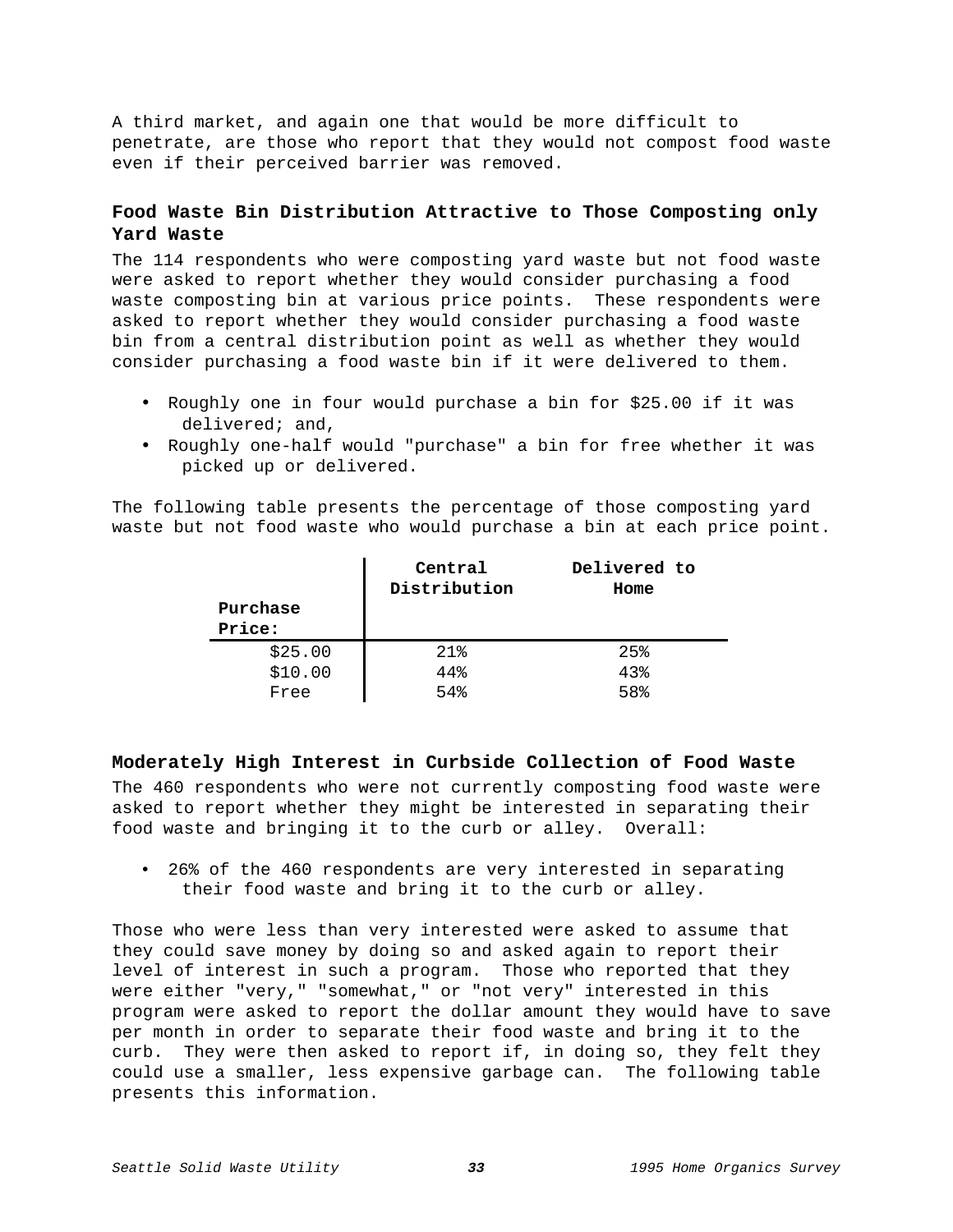A third market, and again one that would be more difficult to penetrate, are those who report that they would not compost food waste even if their perceived barrier was removed.

### **Food Waste Bin Distribution Attractive to Those Composting only Yard Waste**

The 114 respondents who were composting yard waste but not food waste were asked to report whether they would consider purchasing a food waste composting bin at various price points. These respondents were asked to report whether they would consider purchasing a food waste bin from a central distribution point as well as whether they would consider purchasing a food waste bin if it were delivered to them.

- Roughly one in four would purchase a bin for \$25.00 if it was delivered; and,
- Roughly one-half would "purchase" a bin for free whether it was picked up or delivered.

The following table presents the percentage of those composting yard waste but not food waste who would purchase a bin at each price point.

|                    | Central<br>Distribution | Delivered to<br>Home |  |
|--------------------|-------------------------|----------------------|--|
| Purchase<br>Price: |                         |                      |  |
| \$25.00            | $21$ %                  | 25%                  |  |
| \$10.00            | 44%                     | 43%                  |  |
| Free               | 54%                     | 58%                  |  |

#### **Moderately High Interest in Curbside Collection of Food Waste**

The 460 respondents who were not currently composting food waste were asked to report whether they might be interested in separating their food waste and bringing it to the curb or alley. Overall:

• 26% of the 460 respondents are very interested in separating their food waste and bring it to the curb or alley.

Those who were less than very interested were asked to assume that they could save money by doing so and asked again to report their level of interest in such a program. Those who reported that they were either "very," "somewhat," or "not very" interested in this program were asked to report the dollar amount they would have to save per month in order to separate their food waste and bring it to the curb. They were then asked to report if, in doing so, they felt they could use a smaller, less expensive garbage can. The following table presents this information.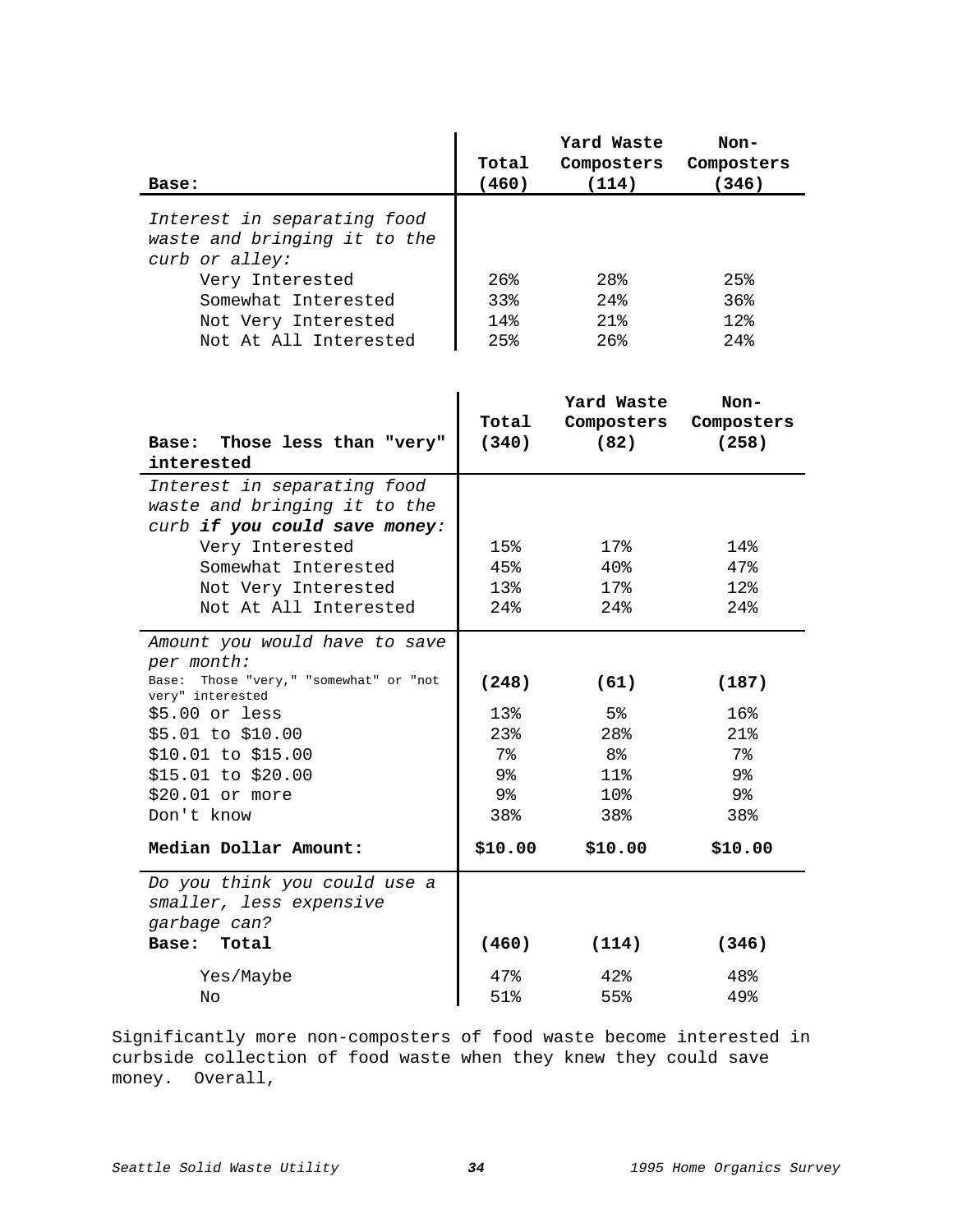| Base:                                                                         | Total<br>(460)    | Yard Waste<br>Composters<br>(114) | Non-<br>Composters<br>(346) |
|-------------------------------------------------------------------------------|-------------------|-----------------------------------|-----------------------------|
| Interest in separating food<br>waste and bringing it to the<br>curb or alley: |                   |                                   |                             |
| Very Interested                                                               | $26$ $\,^{\circ}$ | 28 <sup>8</sup>                   | 25%                         |
| Somewhat Interested                                                           | 33%               | 24%                               | 36%                         |
| Not Very Interested                                                           | 14%               | 21%                               | 12%                         |
| Not At All Interested                                                         | 25%               | $26$ %                            | 24%                         |
| Those less than "very"<br>Base:<br>interested                                 | Total<br>(340)    | Yard Waste<br>Composters<br>(82)  | Non-<br>Composters<br>(258) |
| Interest in separating food                                                   |                   |                                   |                             |
| waste and bringing it to the                                                  |                   |                                   |                             |
| curb if you could save money:                                                 |                   |                                   |                             |
| Very Interested                                                               | 15%               | $17$ %                            | 14%                         |
| Somewhat Interested                                                           | 45%               | 40%                               | 47%                         |
| Not Very Interested                                                           | 13%               | 17%                               | 12 <sub>8</sub>             |
| Not At All Interested                                                         | 24%               | 24%                               | 24%                         |
| Amount you would have to save<br>per month:                                   |                   |                                   |                             |
| Those "very," "somewhat" or "not<br>Base:<br>very" interested                 | (248)             | (61)                              | (187)                       |
| $$5.00$ or less                                                               | 13%               | $5\%$                             | 16%                         |
| \$5.01 to \$10.00                                                             | 23%               | 28%                               | 21%                         |
| \$10.01 to \$15.00                                                            | 7%                | 8%                                | $7\,$                       |
| \$15.01 to \$20.00                                                            | 9%                | $11\%$                            | 9%                          |
| \$20.01 or more                                                               | 9%                | 10 <sub>8</sub>                   | $9\,$                       |
| Don't know                                                                    | 38%               | 38%                               | 38%                         |
| Median Dollar Amount:                                                         | \$10.00           | \$10.00                           | \$10.00                     |
| Do you think you could use a<br>smaller, less expensive<br>garbage can?       |                   |                                   |                             |
| Total<br>Base:                                                                | (460)             | (114)                             | (346)                       |
| Yes/Maybe                                                                     | 47%               | 42%                               | 48%                         |
| No                                                                            | 51%               | 55%                               | 49%                         |

Significantly more non-composters of food waste become interested in curbside collection of food waste when they knew they could save money. Overall,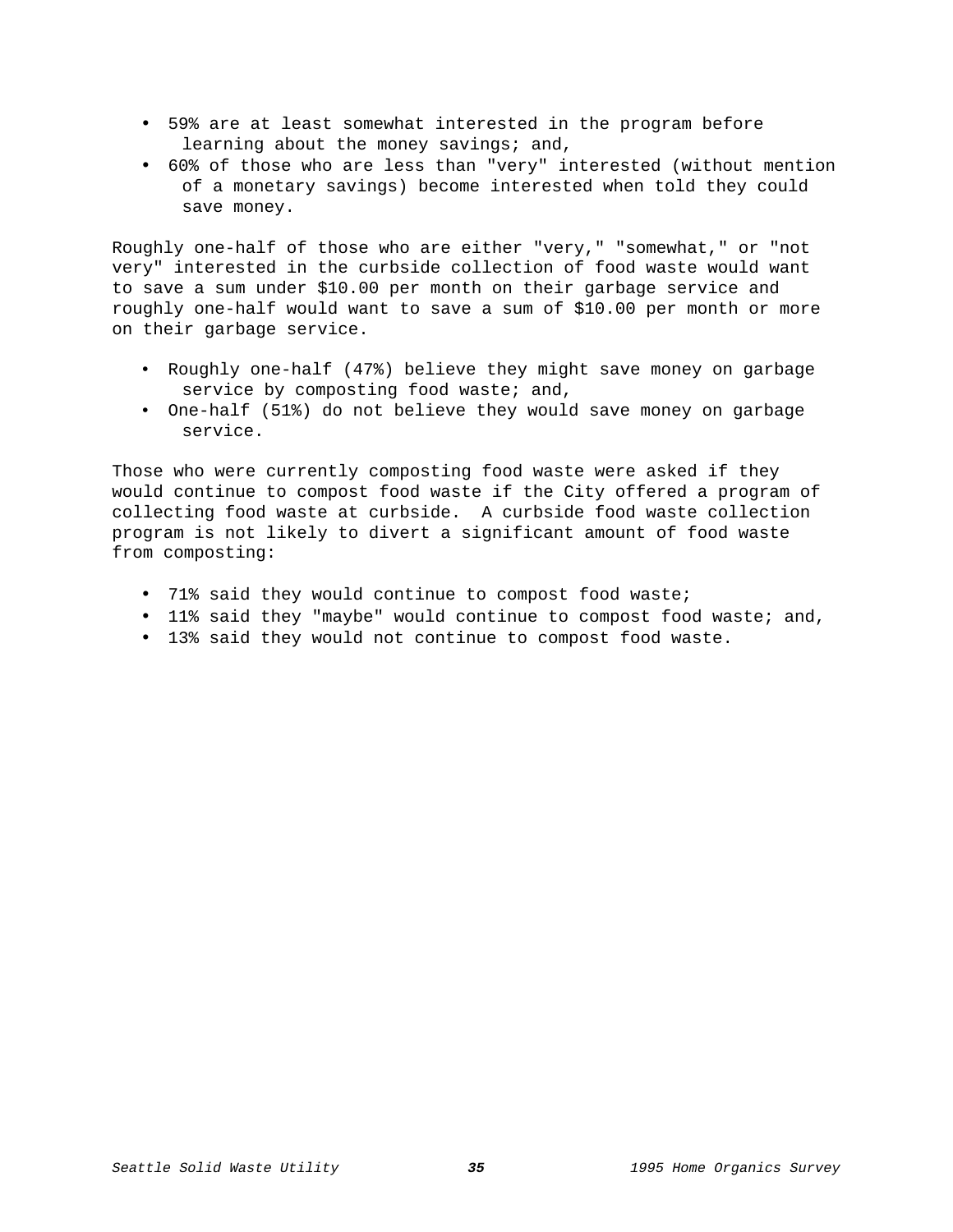- 59% are at least somewhat interested in the program before learning about the money savings; and,
- 60% of those who are less than "very" interested (without mention of a monetary savings) become interested when told they could save money.

Roughly one-half of those who are either "very," "somewhat," or "not very" interested in the curbside collection of food waste would want to save a sum under \$10.00 per month on their garbage service and roughly one-half would want to save a sum of \$10.00 per month or more on their garbage service.

- Roughly one-half (47%) believe they might save money on garbage service by composting food waste; and,
- One-half (51%) do not believe they would save money on garbage service.

Those who were currently composting food waste were asked if they would continue to compost food waste if the City offered a program of collecting food waste at curbside. A curbside food waste collection program is not likely to divert a significant amount of food waste from composting:

- 71% said they would continue to compost food waste;
- 11% said they "maybe" would continue to compost food waste; and,
- 13% said they would not continue to compost food waste.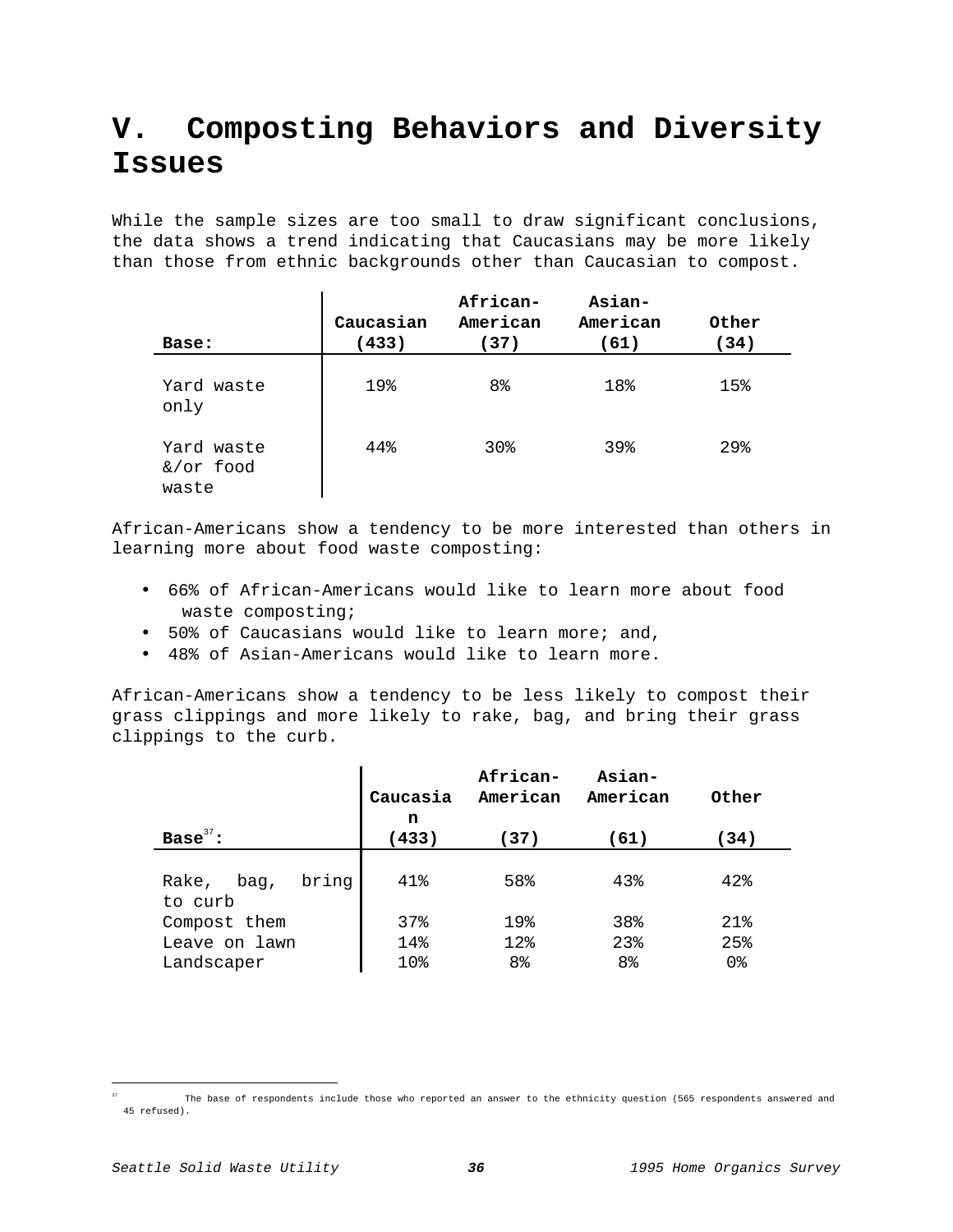# <span id="page-35-0"></span>**V. Composting Behaviors and Diversity Issues**

While the sample sizes are too small to draw significant conclusions, the data shows a trend indicating that Caucasians may be more likely than those from ethnic backgrounds other than Caucasian to compost.

| Base:                            | Caucasian<br>(433) | African-<br>American<br>(37) | Asian-<br>American<br>(61) | Other<br>(34)   |
|----------------------------------|--------------------|------------------------------|----------------------------|-----------------|
| Yard waste<br>only               | 19%                | 8 <sup>°</sup>               | 18%                        | 15%             |
| Yard waste<br>&/or food<br>waste | 44%                | 30 <sub>8</sub>              | 39%                        | 29 <sub>8</sub> |

African-Americans show a tendency to be more interested than others in learning more about food waste composting:

- 66% of African-Americans would like to learn more about food waste composting;
- 50% of Caucasians would like to learn more; and,
- 48% of Asian-Americans would like to learn more.

African-Americans show a tendency to be less likely to compost their grass clippings and more likely to rake, bag, and bring their grass clippings to the curb.

|                        | Caucasia<br>n | African-<br>American | Asian-<br>American | Other |
|------------------------|---------------|----------------------|--------------------|-------|
| Base $37$ :            | (433)         | (37)                 | (61)               | (34)  |
|                        |               |                      |                    |       |
| bring<br>Rake,<br>bag, | 41%           | 58%                  | 43%                | 42%   |
| to curb                |               |                      |                    |       |
| Compost them           | 37%           | 19%                  | 38%                | 21%   |
| Leave on lawn          | 14%           | 12%                  | 23 <sub>8</sub>    | 25%   |
| Landscaper             | 10%           | 8 <sup>°</sup>       | 8 <sup>°</sup>     | 0%    |

The base of respondents include those who reported an answer to the ethnicity question (565 respondents answered and 45 refused).